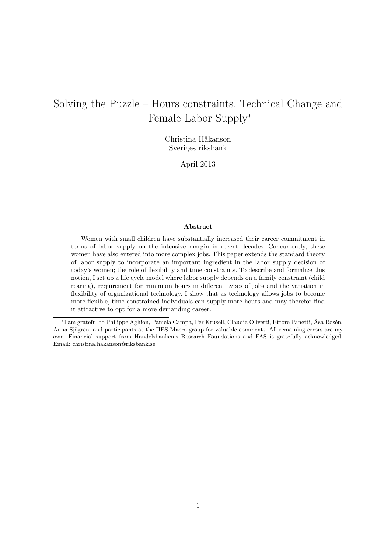# Solving the Puzzle – Hours constraints, Technical Change and Female Labor Supply<sup>∗</sup>

Christina Håkanson Sveriges riksbank

April 2013

### Abstract

Women with small children have substantially increased their career commitment in terms of labor supply on the intensive margin in recent decades. Concurrently, these women have also entered into more complex jobs. This paper extends the standard theory of labor supply to incorporate an important ingredient in the labor supply decision of today's women; the role of flexibility and time constraints. To describe and formalize this notion, I set up a life cycle model where labor supply depends on a family constraint (child rearing), requirement for minimum hours in different types of jobs and the variation in flexibility of organizational technology. I show that as technology allows jobs to become more flexible, time constrained individuals can supply more hours and may therefor find it attractive to opt for a more demanding career.

<sup>∗</sup> I am grateful to Philippe Aghion, Pamela Campa, Per Krusell, Claudia Olivetti, Ettore Panetti, Åsa Rosén, Anna Sjögren, and participants at the IIES Macro group for valuable comments. All remaining errors are my own. Financial support from Handelsbanken's Research Foundations and FAS is gratefully acknowledged. Email: christina.hakanson@riksbank.se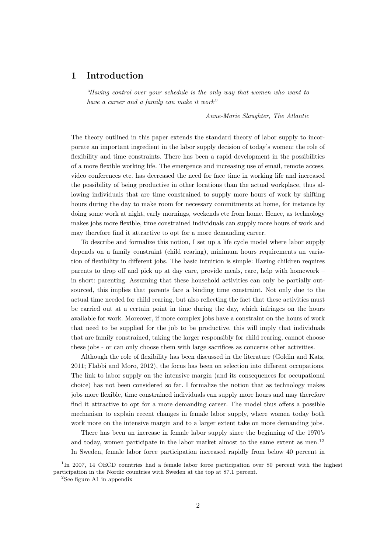# 1 Introduction

"Having control over your schedule is the only way that women who want to have a career and a family can make it work"

Anne-Marie Slaughter, The Atlantic

The theory outlined in this paper extends the standard theory of labor supply to incorporate an important ingredient in the labor supply decision of today's women: the role of flexibility and time constraints. There has been a rapid development in the possibilities of a more flexible working life. The emergence and increasing use of email, remote access, video conferences etc. has decreased the need for face time in working life and increased the possibility of being productive in other locations than the actual workplace, thus allowing individuals that are time constrained to supply more hours of work by shifting hours during the day to make room for necessary commitments at home, for instance by doing some work at night, early mornings, weekends etc from home. Hence, as technology makes jobs more flexible, time constrained individuals can supply more hours of work and may therefore find it attractive to opt for a more demanding career.

To describe and formalize this notion, I set up a life cycle model where labor supply depends on a family constraint (child rearing), minimum hours requirements an variation of flexibility in different jobs. The basic intuition is simple: Having children requires parents to drop off and pick up at day care, provide meals, care, help with homework – in short: parenting. Assuming that these household activities can only be partially outsourced, this implies that parents face a binding time constraint. Not only due to the actual time needed for child rearing, but also reflecting the fact that these activities must be carried out at a certain point in time during the day, which infringes on the hours available for work. Moreover, if more complex jobs have a constraint on the hours of work that need to be supplied for the job to be productive, this will imply that individuals that are family constrained, taking the larger responsibly for child rearing, cannot choose these jobs - or can only choose them with large sacrifices as concerns other activities.

Although the role of flexibility has been discussed in the literature (Goldin and Katz, 2011; Flabbi and Moro, 2012), the focus has been on selection into different occupations. The link to labor supply on the intensive margin (and its consequences for occupational choice) has not been considered so far. I formalize the notion that as technology makes jobs more flexible, time constrained individuals can supply more hours and may therefore find it attractive to opt for a more demanding career. The model thus offers a possible mechanism to explain recent changes in female labor supply, where women today both work more on the intensive margin and to a larger extent take on more demanding jobs.

There has been an increase in female labor supply since the beginning of the 1970's and today, women participate in the labor market almost to the same extent as men.<sup>12</sup> In Sweden, female labor force participation increased rapidly from below 40 percent in

<sup>&</sup>lt;sup>1</sup>In 2007, 14 OECD countries had a female labor force participation over 80 percent with the highest participation in the Nordic countries with Sweden at the top at 87.1 percent.

 ${}^{2}$ See figure A1 in appendix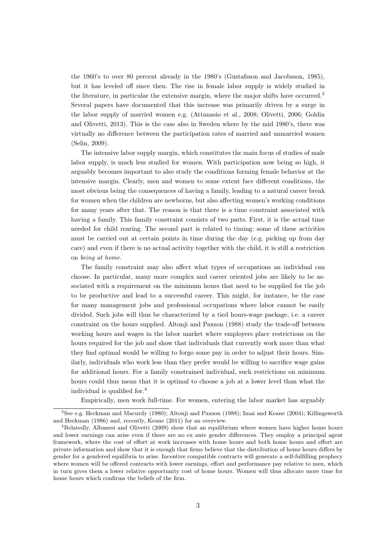the 1960's to over 80 percent already in the 1980's (Gustafsson and Jacobsson, 1985), but it has leveled off since then. The rise in female labor supply is widely studied in the literature, in particular the extensive margin, where the major shifts have occurred.<sup>3</sup> Several papers have documented that this increase was primarily driven by a surge in the labor supply of married women e.g. (Attanasio et al., 2008; Olivetti, 2006; Goldin and Olivetti, 2013). This is the case also in Sweden where by the mid 1980's, there was virtually no difference between the participation rates of married and unmarried women (Selin, 2009).

The intensive labor supply margin, which constitutes the main focus of studies of male labor supply, is much less studied for women. With participation now being so high, it arguably becomes important to also study the conditions forming female behavior at the intensive margin. Clearly, men and women to some extent face different conditions, the most obvious being the consequences of having a family, leading to a natural career break for women when the children are newborns, but also affecting women's working conditions for many years after that. The reason is that there is a time constraint associated with having a family. This family constraint consists of two parts. First, it is the actual time needed for child rearing. The second part is related to timing: some of these activities must be carried out at certain points in time during the day (e.g. picking up from day care) and even if there is no actual activity together with the child, it is still a restriction on being at home.

The family constraint may also affect what types of occupations an individual can choose. In particular, many more complex and career oriented jobs are likely to be associated with a requirement on the minimum hours that need to be supplied for the job to be productive and lead to a successful career. This might, for instance, be the case for many management jobs and professional occupations where labor cannot be easily divided. Such jobs will thus be characterized by a tied hours-wage package, i.e. a career constraint on the hours supplied. Altonji and Paxson (1988) study the trade-off between working hours and wages in the labor market where employers place restrictions on the hours required for the job and show that individuals that currently work more than what they find optimal would be willing to forgo some pay in order to adjust their hours. Similarly, individuals who work less than they prefer would be willing to sacrifice wage gains for additional hours. For a family constrained individual, such restrictions on minimum hours could thus mean that it is optimal to choose a job at a lower level than what the individual is qualified for.<sup>4</sup>

Empirically, men work full-time. For women, entering the labor market has arguably

<sup>3</sup>See e.g. Heckman and Macurdy (1980); Altonji and Paxson (1988); Imai and Keane (2004); Killingsworth and Heckman (1986) and, recently, Keane (2011) for an overview.

<sup>4</sup>Relatedly, Albanesi and Olivetti (2009) show that an equilibrium where women have higher home hours and lower earnings can arise even if there are no ex ante gender differences. They employ a principal agent framework, where the cost of effort at work increases with home hours and both home hours and effort are private information and show that it is enough that firms believe that the distribution of home hours differs by gender for a gendered equilibria to arise. Incentive compatible contracts will generate a self-fulfilling prophecy where women will be offered contracts with lower earnings, effort and performance pay relative to men, which in turn gives them a lower relative opportunity cost of home hours. Women will thus allocate more time for home hours which confirms the beliefs of the firm.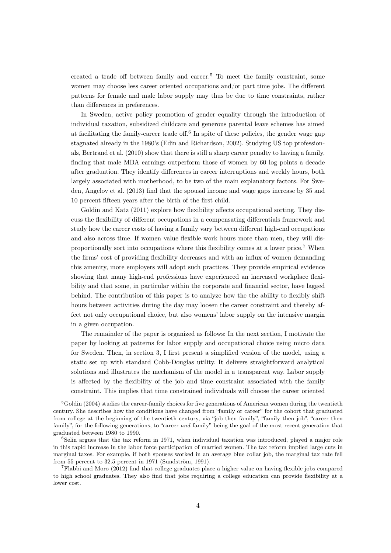created a trade off between family and career.<sup>5</sup> To meet the family constraint, some women may choose less career oriented occupations and/or part time jobs. The different patterns for female and male labor supply may thus be due to time constraints, rather than differences in preferences.

In Sweden, active policy promotion of gender equality through the introduction of individual taxation, subsidized childcare and generous parental leave schemes has aimed at facilitating the family-career trade off.<sup>6</sup> In spite of these policies, the gender wage gap stagnated already in the 1980's (Edin and Richardson, 2002). Studying US top professionals, Bertrand et al. (2010) show that there is still a sharp career penalty to having a family, finding that male MBA earnings outperform those of women by 60 log points a decade after graduation. They identify differences in career interruptions and weekly hours, both largely associated with motherhood, to be two of the main explanatory factors. For Sweden, Angelov et al. (2013) find that the spousal income and wage gaps increase by 35 and 10 percent fifteen years after the birth of the first child.

Goldin and Katz (2011) explore how flexibility affects occupational sorting. They discuss the flexibility of different occupations in a compensating differentials framework and study how the career costs of having a family vary between different high-end occupations and also across time. If women value flexible work hours more than men, they will disproportionally sort into occupations where this flexibility comes at a lower price.<sup>7</sup> When the firms' cost of providing flexibility decreases and with an influx of women demanding this amenity, more employers will adopt such practices. They provide empirical evidence showing that many high-end professions have experienced an increased workplace flexibility and that some, in particular within the corporate and financial sector, have lagged behind. The contribution of this paper is to analyze how the the ability to flexibly shift hours between activities during the day may loosen the career constraint and thereby affect not only occupational choice, but also womens' labor supply on the intensive margin in a given occupation.

The remainder of the paper is organized as follows: In the next section, I motivate the paper by looking at patterns for labor supply and occupational choice using micro data for Sweden. Then, in section 3, I first present a simplified version of the model, using a static set up with standard Cobb-Douglas utility. It delivers straightforward analytical solutions and illustrates the mechanism of the model in a transparent way. Labor supply is affected by the flexibility of the job and time constraint associated with the family constraint. This implies that time constrained individuals will choose the career oriented

 ${}^{5}$ Goldin (2004) studies the career-family choices for five generations of American women during the twentieth century. She describes how the conditions have changed from "family or career" for the cohort that graduated from college at the beginning of the twentieth century, via "job then family", "family then job", "career then family", for the following generations, to "career and family" being the goal of the most recent generation that graduated between 1980 to 1990.

 ${}^{6}$ Selin argues that the tax reform in 1971, when individual taxation was introduced, played a major role in this rapid increase in the labor force participation of married women. The tax reform implied large cuts in marginal taxes. For example, if both spouses worked in an average blue collar job, the marginal tax rate fell from 55 percent to 32.5 percent in 1971 (Sundström, 1991).

<sup>7</sup>Flabbi and Moro (2012) find that college graduates place a higher value on having flexible jobs compared to high school graduates. They also find that jobs requiring a college education can provide flexibility at a lower cost.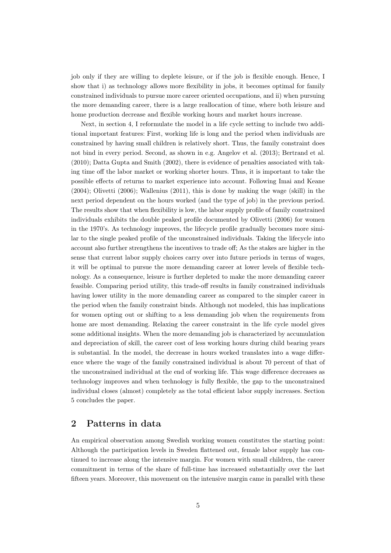job only if they are willing to deplete leisure, or if the job is flexible enough. Hence, I show that i) as technology allows more flexibility in jobs, it becomes optimal for family constrained individuals to pursue more career oriented occupations, and ii) when pursuing the more demanding career, there is a large reallocation of time, where both leisure and home production decrease and flexible working hours and market hours increase.

Next, in section 4, I reformulate the model in a life cycle setting to include two additional important features: First, working life is long and the period when individuals are constrained by having small children is relatively short. Thus, the family constraint does not bind in every period. Second, as shown in e.g. Angelov et al. (2013); Bertrand et al. (2010); Datta Gupta and Smith (2002), there is evidence of penalties associated with taking time off the labor market or working shorter hours. Thus, it is important to take the possible effects of returns to market experience into account. Following Imai and Keane (2004); Olivetti (2006); Wallenius (2011), this is done by making the wage (skill) in the next period dependent on the hours worked (and the type of job) in the previous period. The results show that when flexibility is low, the labor supply profile of family constrained individuals exhibits the double peaked profile documented by Olivetti (2006) for women in the 1970's. As technology improves, the lifecycle profile gradually becomes more similar to the single peaked profile of the unconstrained individuals. Taking the lifecycle into account also further strengthens the incentives to trade off; As the stakes are higher in the sense that current labor supply choices carry over into future periods in terms of wages, it will be optimal to pursue the more demanding career at lower levels of flexible technology. As a consequence, leisure is further depleted to make the more demanding career feasible. Comparing period utility, this trade-off results in family constrained individuals having lower utility in the more demanding career as compared to the simpler career in the period when the family constraint binds. Although not modeled, this has implications for women opting out or shifting to a less demanding job when the requirements from home are most demanding. Relaxing the career constraint in the life cycle model gives some additional insights. When the more demanding job is characterized by accumulation and depreciation of skill, the career cost of less working hours during child bearing years is substantial. In the model, the decrease in hours worked translates into a wage difference where the wage of the family constrained individual is about 70 percent of that of the unconstrained individual at the end of working life. This wage difference decreases as technology improves and when technology is fully flexible, the gap to the unconstrained individual closes (almost) completely as the total efficient labor supply increases. Section 5 concludes the paper.

# 2 Patterns in data

An empirical observation among Swedish working women constitutes the starting point: Although the participation levels in Sweden flattened out, female labor supply has continued to increase along the intensive margin. For women with small children, the career commitment in terms of the share of full-time has increased substantially over the last fifteen years. Moreover, this movement on the intensive margin came in parallel with these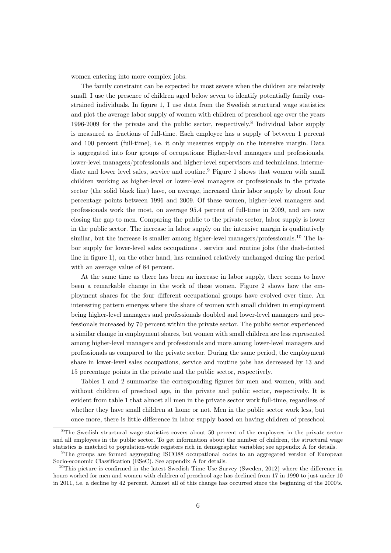women entering into more complex jobs.

The family constraint can be expected be most severe when the children are relatively small. I use the presence of children aged below seven to identify potentially family constrained individuals. In figure 1, I use data from the Swedish structural wage statistics and plot the average labor supply of women with children of preschool age over the years 1996-2009 for the private and the public sector, respectively.<sup>8</sup> Individual labor supply is measured as fractions of full-time. Each employee has a supply of between 1 percent and 100 percent (full-time), i.e. it only measures supply on the intensive margin. Data is aggregated into four groups of occupations: Higher-level managers and professionals, lower-level managers/professionals and higher-level supervisors and technicians, intermediate and lower level sales, service and routine.<sup>9</sup> Figure 1 shows that women with small children working as higher-level or lower-level managers or professionals in the private sector (the solid black line) have, on average, increased their labor supply by about four percentage points between 1996 and 2009. Of these women, higher-level managers and professionals work the most, on average 95.4 percent of full-time in 2009, and are now closing the gap to men. Comparing the public to the private sector, labor supply is lower in the public sector. The increase in labor supply on the intensive margin is qualitatively similar, but the increase is smaller among higher-level managers/professionals.<sup>10</sup> The labor supply for lower-level sales occupations , service and routine jobs (the dash-dotted line in figure 1), on the other hand, has remained relatively unchanged during the period with an average value of 84 percent.

At the same time as there has been an increase in labor supply, there seems to have been a remarkable change in the work of these women. Figure 2 shows how the employment shares for the four different occupational groups have evolved over time. An interesting pattern emerges where the share of women with small children in employment being higher-level managers and professionals doubled and lower-level managers and professionals increased by 70 percent within the private sector. The public sector experienced a similar change in employment shares, but women with small children are less represented among higher-level managers and professionals and more among lower-level managers and professionals as compared to the private sector. During the same period, the employment share in lower-level sales occupations, service and routine jobs has decreased by 13 and 15 percentage points in the private and the public sector, respectively.

Tables 1 and 2 summarize the corresponding figures for men and women, with and without children of preschool age, in the private and public sector, respectively. It is evident from table 1 that almost all men in the private sector work full-time, regardless of whether they have small children at home or not. Men in the public sector work less, but once more, there is little difference in labor supply based on having children of preschool

<sup>&</sup>lt;sup>8</sup>The Swedish structural wage statistics covers about 50 percent of the employees in the private sector and all employees in the public sector. To get information about the number of children, the structural wage statistics is matched to population-wide registers rich in demographic variables; see appendix A for details.

<sup>&</sup>lt;sup>9</sup>The groups are formed aggregating ISCO88 occupational codes to an aggregated version of European Socio-economic Classification (ESeC). See appendix A for details.

<sup>&</sup>lt;sup>10</sup>This picture is confirmed in the latest Swedish Time Use Survey (Sweden, 2012) where the difference in hours worked for men and women with children of preschool age has declined from 17 in 1990 to just under 10 in 2011, i.e. a decline by 42 percent. Almost all of this change has occurred since the beginning of the 2000's.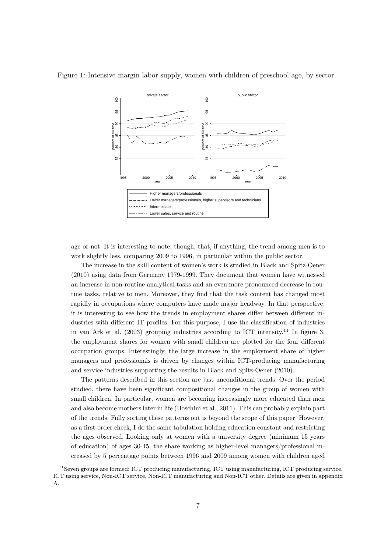

Figure 1: Intensive margin labor supply, women with children of preschool age, by sector.

age or not. It is interesting to note, though, that, if anything, the trend among men is to work slightly less, comparing 2009 to 1996, in particular within the public sector.

The increase in the skill content of women's work is studied in Black and Spitz-Oener (2010) using data from Germany 1979-1999. They document that women have witnessed an increase in non-routine analytical tasks and an even more pronounced decrease in routine tasks, relative to men. Moreover, they find that the task content has changed most rapidly in occupations where computers have made major headway. In that perspective, it is interesting to see how the trends in employment shares differ between different industries with different IT profiles. For this purpose, I use the classification of industries in van Ark et al.  $(2003)$  grouping industries according to ICT intensity.<sup>11</sup> In figure 3, the employment shares for women with small children are plotted for the four different occupation groups. Interestingly, the large increase in the employment share of higher managers and professionals is driven by changes within ICT-producing manufacturing and service industries supporting the results in Black and Spitz-Oener (2010).

The patterns described in this section are just unconditional trends. Over the period studied, there have been significant compositional changes in the group of women with small children. In particular, women are becoming increasingly more educated than men and also become mothers later in life (Boschini et al., 2011). This can probably explain part of the trends. Fully sorting these patterns out is beyond the scope of this paper. However, as a first-order check, I do the same tabulation holding education constant and restricting the ages observed. Looking only at women with a university degree (minimum 15 years of education) of ages 30-45, the share working as higher-level managers/professional increased by 5 percentage points between 1996 and 2009 among women with children aged

<sup>11</sup>Seven groups are formed: ICT producing manufacturing, ICT using manufacturing, ICT producing service, ICT using service, Non-ICT service, Non-ICT manufacturing and Non-ICT other. Details are given in appendix A.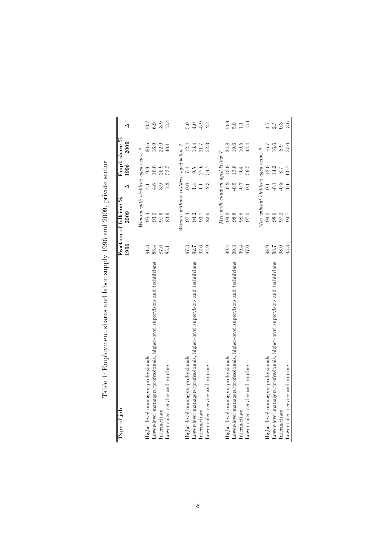| Table 1: Employment shares and labor supply 1996 and 2009, private secto |
|--------------------------------------------------------------------------|
|                                                                          |
|                                                                          |
|                                                                          |
|                                                                          |
|                                                                          |
|                                                                          |
|                                                                          |
|                                                                          |
|                                                                          |
|                                                                          |
|                                                                          |
|                                                                          |

| Table 1: Employment shares and labor supply 1996 and 2009, private sector    |          |                                     |                  |                  |                       |                  |
|------------------------------------------------------------------------------|----------|-------------------------------------|------------------|------------------|-----------------------|------------------|
| Type of job                                                                  | 1996     | Fraction of fulltime %<br>2009      | ◁                | 1996             | Empl. share %<br>2009 | ◁                |
|                                                                              |          | Women with children aged below $7$  |                  |                  |                       |                  |
| Higher-level managers/professionals                                          | 91.3     | 95.4                                | $\frac{1}{4}$    | 9.9              | $20.6\,$              | $10.7\,$         |
| Lower-level managers/professionals, higher-level supervisors and technicians | 88.4     | 93.0                                | 4.6              | $10.0\,$         | 16.9                  | $6.9$<br>$-3.9$  |
| Intermediate                                                                 | 87.6     | 91.6                                | 3.9              | 25.9             | 22.0                  |                  |
| Lower sales, service and routine                                             | 85.1     | 83.9                                | $-1.2$           | 53.5             | 40.1                  | $-13.4$          |
|                                                                              |          | Women without children aged below 7 |                  |                  |                       |                  |
| Higher-level managers/professionals                                          | 97.3     |                                     | $0.0\,$          | $\overline{74}$  | 12.4                  | 5.0              |
| Lower-level managers/professionals, higher-level supervisors and technicians | 92.7     | 94.2                                | 1.4              | $9.\overline{5}$ | 13.4                  | $4.0$            |
| Intermediate                                                                 | 92.6     | 93.7                                | $\Box$           | 27.6<br>54.7     | 21.7                  | $-5.9$           |
| Lower sales, service and routine                                             | 84.9     | 82.6                                | $-2.3$           |                  | 52.3                  | $-2.4$           |
|                                                                              |          | Men with children aged below 7      |                  |                  |                       |                  |
| Higher-level managers/professionals                                          | 99.4     | 99.2                                | $-0.2$           | 13.9             | 24.8                  | $10.9\,$         |
| Lower-level managers/professionals, higher-level supervisors and technicians | 99.3     | 98.8                                | $-0.5$           | 13.8             | 19.6                  | $5.8\,$          |
| Intermediate                                                                 | 99.4     | 98.8                                | $-0.7$           | 9.4              | 10.5                  | $\Box$           |
| Lower sales, service and routine                                             | 97.0     | 97.0                                | $\overline{0.1}$ | 59.5             | 44.4                  | 15.1             |
|                                                                              |          | Men without children aged below 7   |                  |                  |                       |                  |
| Higher-level managers/professionals                                          | 98.9     | 99.0                                | $\overline{0}$ . | 12.0             | $16.7\,$              | 4.7              |
| Lower-level managers/professionals, higher-level supervisors and technicians | $7.80\,$ | 98.6                                | $-0.1$           | 14.2             | 16.6                  | $2.3\,$          |
| Intermediate                                                                 | $98.0\,$ | 97.2                                | $-0.8$           | $8.7\,$          | 8.9                   | $0.\overline{3}$ |
| Lower sales, service and routine                                             | 95.3     | 94.7                                | $-0.6$           | 60.7             | 57.0                  | $-3.6$           |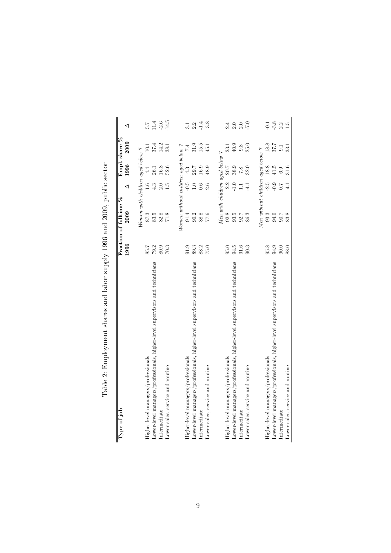| I                                                                                                                                                                                                                                                    |
|------------------------------------------------------------------------------------------------------------------------------------------------------------------------------------------------------------------------------------------------------|
| <b>「 」 「 」 「 」 「 」 「 」 「 」</b><br>֠                                                                                                                                                                                                                  |
| l<br>$\frac{1}{2}$<br>$\frac{1}{2}$                                                                                                                                                                                                                  |
| )<br>}<br>i<br>I                                                                                                                                                                                                                                     |
| )<br>ì<br>᠈<br>I                                                                                                                                                                                                                                     |
| and and so the first state of the contract of the contract of the contract of the contract of the contract of the contract of the contract of the contract of the contract of the contract of the contract of the contract of<br>ł<br>١<br>֚֡֕֡<br>l |
| í<br>l<br>$\frac{1}{2}$<br>J<br>ׇ֞֘֝                                                                                                                                                                                                                 |
| ;<br>;<br>;<br>3                                                                                                                                                                                                                                     |
| $\frac{1}{2}$                                                                                                                                                                                                                                        |
| てんこく こうさく こうこうこうこうこうこう<br>ı                                                                                                                                                                                                                          |
| ł<br>֖֧֧֧֧֧ׅ֧ׅ֧֧֧֧֧֧֛֪ׅ֧ׅ֧֛֪ׅ֧֛֛֪ׅ֧֛֛֪ׅ֧֛֛֪ׅ֛֚֚֚֚֚֚֚֚֚֚֚֚֚֚֚֚֡֕֕֕֓֝֓֝֓֝֓֝֓֝֬֝֓֝֬֝֬֝֬֝֬֝֓֝֬֓֓<br>$\overline{a}$                                                                                                                                       |
| ı<br>¢                                                                                                                                                                                                                                               |
| $\overline{\phantom{a}}$<br>ì<br>$\frac{1}{1}$<br>Į<br>j<br>I                                                                                                                                                                                        |

| Type of job                                                                  | 1996 | $ \mathcal{E} $<br>Fraction of fulltime<br>2009 | ◁                 | 1996     | Empl. share %<br>2009 | ◁                |
|------------------------------------------------------------------------------|------|-------------------------------------------------|-------------------|----------|-----------------------|------------------|
|                                                                              |      |                                                 |                   |          |                       |                  |
|                                                                              |      | $Women$ with children aged below $\gamma$       |                   |          |                       |                  |
| Higher-level managers/professionals                                          | 85.7 | 87.3                                            | 1.6               | 4.4      | 10.1                  | 7.5              |
| Lower-level managers/professionals, higher-level supervisors and technicians | 79.2 | 83.5                                            | 4.3               | 26.1     | 37.4                  |                  |
| Intermediate                                                                 | 80.9 | 82.8                                            | 2.0               | 16.8     | 14.2                  | $11.4$<br>$-2.6$ |
| Lower sales, service and routine                                             | 70.3 | 71.8                                            | 1.5               | 52.6     | 38.1                  | $-14.5$          |
|                                                                              |      | Women without children aged below $7$           |                   |          |                       |                  |
| Higher-level managers/professionals                                          | 91.9 | 91.4                                            | م.<br>-0          | 4.3      | 7.4                   | 3.1              |
| Lower-level managers/professionals, higher-level supervisors and technicians | 89.3 | 90.2                                            | $1.0\,$           | $29.7\,$ | 31.9                  | $2.\overline{3}$ |
| Intermediate                                                                 | 88.2 | 88.8                                            | 0.6               | 16.9     | 15.5                  |                  |
| Lower sales, service and routine                                             | 75.0 | 77.6                                            | 2.6               | 48.9     | 45.1                  | $-3.8$           |
|                                                                              |      | Men with children aged below                    |                   |          | $\overline{z}$        |                  |
| Higher-level managers/professionals                                          | 95.0 | 92.8                                            | $-2.2$            | 20.7     | 23.1                  |                  |
| Lower-level managers/professionals, higher-level supervisors and technicians | 94.5 | 93.5                                            | $-1.0$            | 38.9     | 40.9                  | $2000$<br>$2000$ |
| Intermediate                                                                 | 91.6 | 92.7                                            | $\overline{11}$   | 7.8      | 9.8                   |                  |
| Lower sales, service and routine                                             | 90.3 | 86.3                                            | $-4.1$            | 32.0     | 25.0                  | $-7.0$           |
|                                                                              |      | $Men$ without children aged below $\gamma$      |                   |          |                       |                  |
| Higher-level managers/professionals                                          | 95.8 | 93.3                                            | $-2.5$            | 18.8     | $18.8\,$              | $-0.1$           |
| Lower-level managers/professionals, higher-level supervisors and technicians | 94.9 | 94.0                                            | $-0.9$            | $41.5$   | 37.7                  | $-3.8$           |
| Intermediate                                                                 | 90.0 | 90.7                                            | $\overline{0}$ .7 | $6.9\,$  | 9.1                   | 2.2              |
| Lower sales, service and routine                                             | 88.0 | 83.8                                            | $\frac{1}{4}$     | 31.6     | 33.1                  | $\frac{5}{1}$    |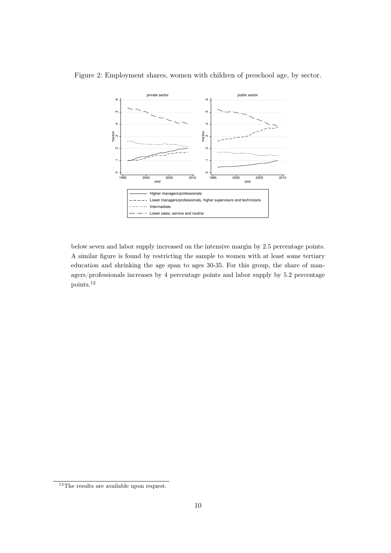

Figure 2: Employment shares, women with children of preschool age, by sector.

below seven and labor supply increased on the intensive margin by 2.5 percentage points. A similar figure is found by restricting the sample to women with at least some tertiary education and shrinking the age span to ages 30-35. For this group, the share of managers/professionals increases by 4 percentage points and labor supply by 5.2 percentage points.<sup>12</sup>

 $^{12}{\rm The}$  results are available upon request.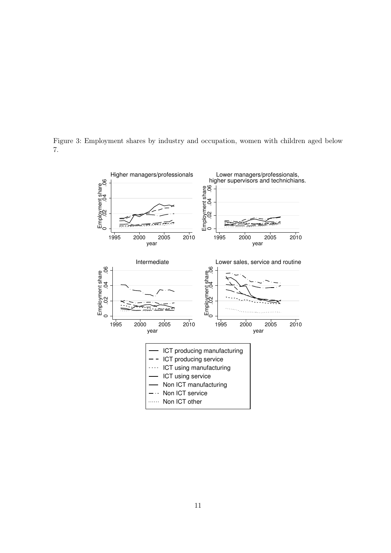

Figure 3: Employment shares by industry and occupation, women with children aged below 7.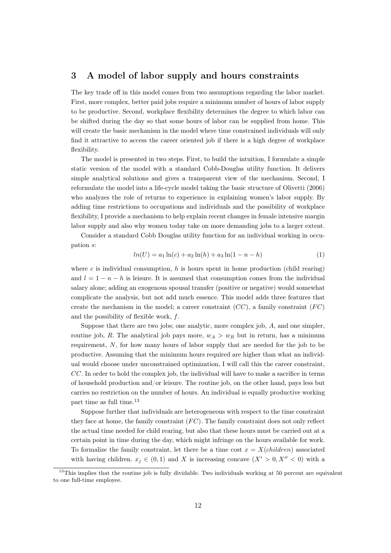# 3 A model of labor supply and hours constraints

The key trade off in this model comes from two assumptions regarding the labor market. First, more complex, better paid jobs require a minimum number of hours of labor supply to be productive. Second, workplace flexibility determines the degree to which labor can be shifted during the day so that some hours of labor can be supplied from home. This will create the basic mechanism in the model where time constrained individuals will only find it attractive to access the career oriented job if there is a high degree of workplace flexibility.

The model is presented in two steps. First, to build the intuition, I formulate a simple static version of the model with a standard Cobb-Douglas utility function. It delivers simple analytical solutions and gives a transparent view of the mechanism. Second, I reformulate the model into a life-cycle model taking the basic structure of Olivetti (2006) who analyzes the role of returns to experience in explaining women's labor supply. By adding time restrictions to occupations and individuals and the possibility of workplace flexibility, I provide a mechanism to help explain recent changes in female intensive margin labor supply and also why women today take on more demanding jobs to a larger extent.

Consider a standard Cobb Douglas utility function for an individual working in occupation s:

$$
ln(U) = a_1 ln(c) + a_2 ln(h) + a_3 ln(1 - n - h)
$$
\n(1)

where c is individual consumption, h is hours spent in home production (child rearing) and  $l = 1 - n - h$  is leisure. It is assumed that consumption comes from the individual salary alone; adding an exogenous spousal transfer (positive or negative) would somewhat complicate the analysis, but not add much essence. This model adds three features that create the mechanism in the model; a career constraint  $(CC)$ , a family constraint  $(FC)$ and the possibility of flexible work,  $f$ .

Suppose that there are two jobs; one analytic, more complex job, A, and one simpler, routine job, R. The analytical job pays more,  $w_A > w_R$  but in return, has a minimum requirement, N, for how many hours of labor supply that are needed for the job to be productive. Assuming that the minimum hours required are higher than what an individual would choose under unconstrained optimization, I will call this the career constraint, CC. In order to hold the complex job, the individual will have to make a sacrifice in terms of household production and/or leisure. The routine job, on the other hand, pays less but carries no restriction on the number of hours. An individual is equally productive working part time as full time.<sup>13</sup>

Suppose further that individuals are heterogeneous with respect to the time constraint they face at home, the family constraint  $(FC)$ . The family constraint does not only reflect the actual time needed for child rearing, but also that these hours must be carried out at a certain point in time during the day, which might infringe on the hours available for work. To formalize the family constraint, let there be a time cost  $x = X(children)$  associated with having children.  $x_i \in (0,1)$  and X is increasing concave  $(X' > 0, X'' < 0)$  with a

 $13$ This implies that the routine job is fully dividable. Two individuals working at 50 percent are equivalent to one full-time employee.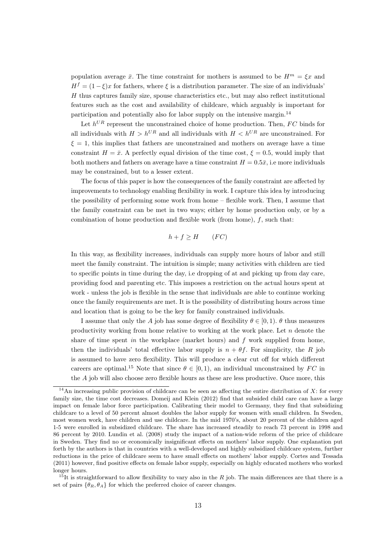population average  $\bar{x}$ . The time constraint for mothers is assumed to be  $H^m = \mathcal{E}x$  and  $H<sup>f</sup> = (1 - \xi)x$  for fathers, where  $\xi$  is a distribution parameter. The size of an individuals'  $H$  thus captures family size, spouse characteristics etc., but may also reflect institutional features such as the cost and availability of childcare, which arguably is important for participation and potentially also for labor supply on the intensive margin.<sup>14</sup>

Let  $h^{UR}$  represent the unconstrained choice of home production. Then,  $FC$  binds for all individuals with  $H > h^{UR}$  and all individuals with  $H < h^{UR}$  are unconstrained. For  $\xi = 1$ , this implies that fathers are unconstrained and mothers on average have a time constraint  $H = \bar{x}$ . A perfectly equal division of the time cost,  $\xi = 0.5$ , would imply that both mothers and fathers on average have a time constraint  $H = 0.5\bar{x}$ , i.e more individuals may be constrained, but to a lesser extent.

The focus of this paper is how the consequences of the family constraint are affected by improvements to technology enabling flexibility in work. I capture this idea by introducing the possibility of performing some work from home – flexible work. Then, I assume that the family constraint can be met in two ways; either by home production only, or by a combination of home production and flexible work (from home),  $f$ , such that:

$$
h + f \ge H \qquad (FC)
$$

In this way, as flexibility increases, individuals can supply more hours of labor and still meet the family constraint. The intuition is simple; many activities with children are tied to specific points in time during the day, i.e dropping of at and picking up from day care, providing food and parenting etc. This imposes a restriction on the actual hours spent at work - unless the job is flexible in the sense that individuals are able to continue working once the family requirements are met. It is the possibility of distributing hours across time and location that is going to be the key for family constrained individuals.

I assume that only the A job has some degree of flexibility  $\theta \in [0, 1)$ .  $\theta$  thus measures productivity working from home relative to working at the work place. Let  $n$  denote the share of time spent in the workplace (market hours) and  $f$  work supplied from home, then the individuals' total effective labor supply is  $n + \theta f$ . For simplicity, the R job is assumed to have zero flexibility. This will produce a clear cut off for which different careers are optimal.<sup>15</sup> Note that since  $\theta \in [0, 1)$ , an individual unconstrained by FC in the A job will also choose zero flexible hours as these are less productive. Once more, this

 $^{15}$ It is straightforward to allow flexibility to vary also in the R job. The main differences are that there is a set of pairs  $\{\theta_R, \theta_A\}$  for which the preferred choice of career changes.

<sup>&</sup>lt;sup>14</sup>An increasing public provision of childcare can be seen as affecting the entire distribution of X: for every family size, the time cost decreases. Domeij and Klein (2012) find that subsided child care can have a large impact on female labor force participation. Calibrating their model to Germany, they find that subsidizing childcare to a level of 50 percent almost doubles the labor supply for women with small children. In Sweden, most women work, have children and use childcare. In the mid 1970's, about 20 percent of the children aged 1-5 were enrolled in subsidized childcare. The share has increased steadily to reach 73 percent in 1998 and 86 percent by 2010. Lundin et al. (2008) study the impact of a nation-wide reform of the price of childcare in Sweden. They find no or economically insignificant effects on mothers' labor supply. One explanation put forth by the authors is that in countries with a well-developed and highly subsidized childcare system, further reductions in the price of childcare seem to have small effects on mothers' labor supply. Cortes and Tessada (2011) however, find positive effects on female labor supply, especially on highly educated mothers who worked longer hours.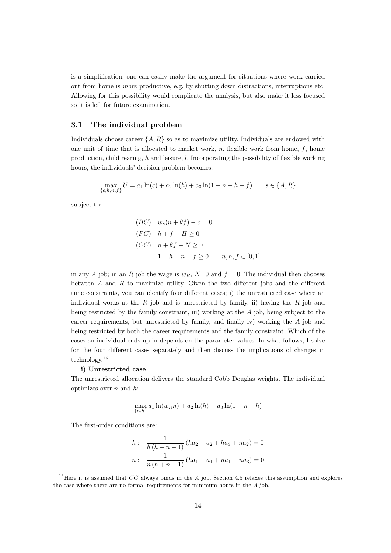is a simplification; one can easily make the argument for situations where work carried out from home is more productive, e.g. by shutting down distractions, interruptions etc. Allowing for this possibility would complicate the analysis, but also make it less focused so it is left for future examination.

### 3.1 The individual problem

Individuals choose career  $\{A, R\}$  so as to maximize utility. Individuals are endowed with one unit of time that is allocated to market work,  $n$ , flexible work from home,  $f$ , home production, child rearing, h and leisure, l. Incorporating the possibility of flexible working hours, the individuals' decision problem becomes:

$$
\max_{\{c, h, n, f\}} U = a_1 \ln(c) + a_2 \ln(h) + a_3 \ln(1 - n - h - f) \qquad s \in \{A, R\}
$$

subject to:

$$
(BC) \t ws(n + \theta f) - c = 0
$$
  
(FC)  $h + f - H \ge 0$   
(CC)  $n + \theta f - N \ge 0$   
 $1 - h - n - f \ge 0$   $n, h, f \in [0, 1]$ 

in any A job; in an R job the wage is  $w_R$ ,  $N=0$  and  $f=0$ . The individual then chooses between A and R to maximize utility. Given the two different jobs and the different time constraints, you can identify four different cases; i) the unrestricted case where an individual works at the  $R$  job and is unrestricted by family, ii) having the  $R$  job and being restricted by the family constraint, iii) working at the A job, being subject to the career requirements, but unrestricted by family, and finally iv) working the A job and being restricted by both the career requirements and the family constraint. Which of the cases an individual ends up in depends on the parameter values. In what follows, I solve for the four different cases separately and then discuss the implications of changes in technology.<sup>16</sup>

# i) Unrestricted case

The unrestricted allocation delivers the standard Cobb Douglas weights. The individual optimizes over  $n$  and  $h$ :

$$
\max_{\{n,h\}} a_1 \ln(w_R n) + a_2 \ln(h) + a_3 \ln(1 - n - h)
$$

The first-order conditions are:

$$
h: \frac{1}{h(h+n-1)}(ha_2 - a_2 + ha_3 + na_2) = 0
$$
  

$$
n: \frac{1}{n(h+n-1)}(ha_1 - a_1 + na_1 + na_3) = 0
$$

<sup>&</sup>lt;sup>16</sup>Here it is assumed that CC always binds in the A job. Section 4.5 relaxes this assumption and explores the case where there are no formal requirements for minimum hours in the A job.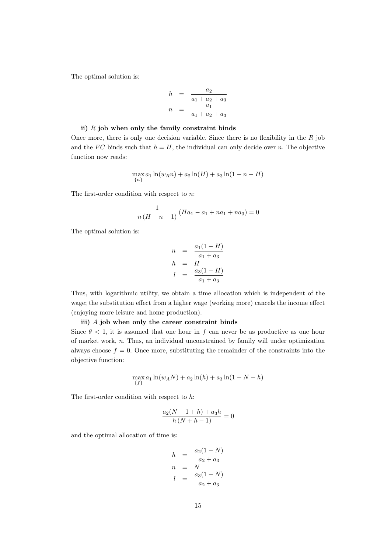The optimal solution is:

$$
h = \frac{a_2}{a_1 + a_2 + a_3}
$$
  

$$
n = \frac{a_1}{a_1 + a_2 + a_3}
$$

#### ii)  $R$  job when only the family constraint binds

Once more, there is only one decision variable. Since there is no flexibility in the  $R$  job and the FC binds such that  $h = H$ , the individual can only decide over n. The objective function now reads:

$$
\max_{\{n\}} a_1 \ln(w_R n) + a_2 \ln(H) + a_3 \ln(1 - n - H)
$$

The first-order condition with respect to n:

$$
\frac{1}{n(H + n - 1)} (Ha_1 - a_1 + na_1 + na_3) = 0
$$

The optimal solution is:

$$
n = \frac{a_1(1-H)}{a_1 + a_3}
$$
  
\n
$$
h = H
$$
  
\n
$$
l = \frac{a_3(1-H)}{a_1 + a_3}
$$

Thus, with logarithmic utility, we obtain a time allocation which is independent of the wage; the substitution effect from a higher wage (working more) cancels the income effect (enjoying more leisure and home production).

#### iii) A job when only the career constraint binds

Since  $\theta$  < 1, it is assumed that one hour in f can never be as productive as one hour of market work, n. Thus, an individual unconstrained by family will under optimization always choose  $f = 0$ . Once more, substituting the remainder of the constraints into the objective function:

$$
\max_{\{f\}} a_1 \ln(w_A N) + a_2 \ln(h) + a_3 \ln(1 - N - h)
$$

The first-order condition with respect to  $h$ :

$$
\frac{a_2(N - 1 + h) + a_3 h}{h (N + h - 1)} = 0
$$

and the optimal allocation of time is:

$$
h = \frac{a_2(1-N)}{a_2 + a_3}
$$
  
\n
$$
n = N
$$
  
\n
$$
l = \frac{a_3(1-N)}{a_2 + a_3}
$$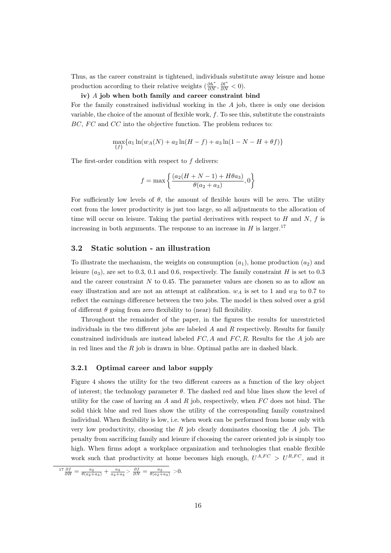Thus, as the career constraint is tightened, individuals substitute away leisure and home production according to their relative weights  $(\frac{\partial h^*}{\partial N}, \frac{\partial l^*}{\partial N} < 0)$ .

#### iv) A job when both family and career constraint bind

For the family constrained individual working in the  $A$  job, there is only one decision variable, the choice of the amount of flexible work,  $f$ . To see this, substitute the constraints  $BC, FC$  and  $CC$  into the objective function. The problem reduces to:

$$
\max_{\{f\}} \{a_1 \ln(w_A(N) + a_2 \ln(H - f) + a_3 \ln(1 - N - H + \theta f)\}\
$$

The first-order condition with respect to  $f$  delivers:

$$
f = \max\left\{\frac{(a_2(H+N-1) + H\theta a_3)}{\theta(a_2+a_3)}, 0\right\}
$$

For sufficiently low levels of  $\theta$ , the amount of flexible hours will be zero. The utility cost from the lower productivity is just too large, so all adjustments to the allocation of time will occur on leisure. Taking the partial derivatives with respect to  $H$  and  $N$ ,  $f$  is increasing in both arguments. The response to an increase in  $H$  is larger.<sup>17</sup>

### 3.2 Static solution - an illustration

To illustrate the mechanism, the weights on consumption  $(a_1)$ , home production  $(a_2)$  and leisure  $(a_3)$ , are set to 0.3, 0.1 and 0.6, respectively. The family constraint H is set to 0.3 and the career constraint  $N$  to 0.45. The parameter values are chosen so as to allow an easy illustration and are not an attempt at calibration.  $w_A$  is set to 1 and  $w_B$  to 0.7 to reflect the earnings difference between the two jobs. The model is then solved over a grid of different  $\theta$  going from zero flexibility to (near) full flexibility.

Throughout the remainder of the paper, in the figures the results for unrestricted individuals in the two different jobs are labeled  $A$  and  $R$  respectively. Results for family constrained individuals are instead labeled  $FC, A$  and  $FC, R$ . Results for the A job are in red lines and the  $R$  job is drawn in blue. Optimal paths are in dashed black.

#### 3.2.1 Optimal career and labor supply

Figure 4 shows the utility for the two different careers as a function of the key object of interest; the technology parameter  $\theta$ . The dashed red and blue lines show the level of utility for the case of having an A and R job, respectively, when  $FC$  does not bind. The solid thick blue and red lines show the utility of the corresponding family constrained individual. When flexibility is low, i.e. when work can be performed from home only with very low productivity, choosing the  $R$  job clearly dominates choosing the  $A$  job. The penalty from sacrificing family and leisure if choosing the career oriented job is simply too high. When firms adopt a workplace organization and technologies that enable flexible work such that productivity at home becomes high enough,  $U^{A,FC} > U^{R,FC}$ , and it

 $\frac{17}{\partial H} \frac{\partial f}{\partial H} = \frac{a_2}{\theta(a_2 + a_3)} + \frac{a_3}{a_2 + a_3} > \frac{\partial f}{\partial N} = \frac{a_2}{\theta(a_2 + a_3)} > 0.$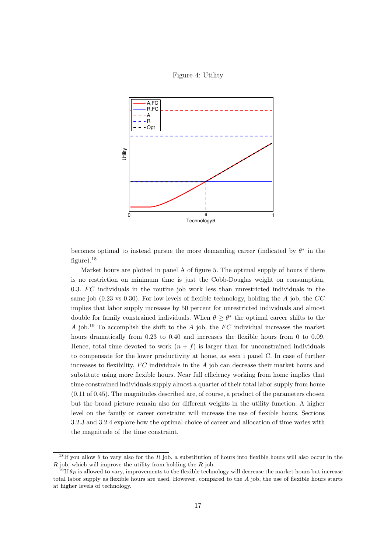



becomes optimal to instead pursue the more demanding career (indicated by  $\theta^*$  in the figure). $^{18}$ 

Market hours are plotted in panel A of figure 5. The optimal supply of hours if there is no restriction on minimum time is just the Cobb-Douglas weight on consumption, 0.3.  $FC$  individuals in the routine job work less than unrestricted individuals in the same job (0.23 vs 0.30). For low levels of flexible technology, holding the  $A$  job, the  $CC$ implies that labor supply increases by 50 percent for unrestricted individuals and almost double for family constrained individuals. When  $\theta \geq \theta^*$  the optimal career shifts to the A job.<sup>19</sup> To accomplish the shift to the A job, the  $FC$  individual increases the market hours dramatically from 0.23 to 0.40 and increases the flexible hours from 0 to 0.09. Hence, total time devoted to work  $(n + f)$  is larger than for unconstrained individuals to compensate for the lower productivity at home, as seen i panel C. In case of further increases to flexibility,  $FC$  individuals in the  $A$  job can decrease their market hours and substitute using more flexible hours. Near full efficiency working from home implies that time constrained individuals supply almost a quarter of their total labor supply from home  $(0.11 \text{ of } 0.45)$ . The magnitudes described are, of course, a product of the parameters chosen but the broad picture remain also for different weights in the utility function. A higher level on the family or career constraint will increase the use of flexible hours. Sections 3.2.3 and 3.2.4 explore how the optimal choice of career and allocation of time varies with the magnitude of the time constraint.

<sup>&</sup>lt;sup>18</sup>If you allow  $\theta$  to vary also for the R job, a substitution of hours into flexible hours will also occur in the  $R$  job, which will improve the utility from holding the  $R$  job.

<sup>&</sup>lt;sup>19</sup>If  $\theta_R$  is allowed to vary, improvements to the flexible technology will decrease the market hours but increase total labor supply as flexible hours are used. However, compared to the A job, the use of flexible hours starts at higher levels of technology.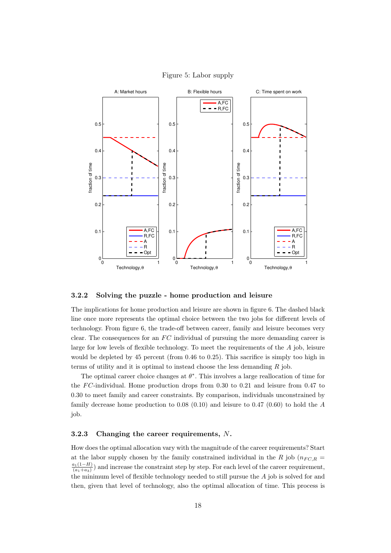

### Figure 5: Labor supply

#### 3.2.2 Solving the puzzle - home production and leisure

The implications for home production and leisure are shown in figure 6. The dashed black line once more represents the optimal choice between the two jobs for different levels of technology. From figure 6, the trade-off between career, family and leisure becomes very clear. The consequences for an  $FC$  individual of pursuing the more demanding career is large for low levels of flexible technology. To meet the requirements of the  $A$  job, leisure would be depleted by 45 percent (from 0.46 to 0.25). This sacrifice is simply too high in terms of utility and it is optimal to instead choose the less demanding  $R$  job.

The optimal career choice changes at  $\theta^*$ . This involves a large reallocation of time for the  $FC$ -individual. Home production drops from 0.30 to 0.21 and leisure from 0.47 to 0.30 to meet family and career constraints. By comparison, individuals unconstrained by family decrease home production to  $0.08$   $(0.10)$  and leisure to  $0.47$   $(0.60)$  to hold the A job.

### 3.2.3 Changing the career requirements, N.

How does the optimal allocation vary with the magnitude of the career requirements? Start at the labor supply chosen by the family constrained individual in the R job ( $n_{F C, R}$  =  $a_1(1–H)$  $\frac{a_1(1-H)}{(a_1+a_3)}$  and increase the constraint step by step. For each level of the career requirement, the minimum level of flexible technology needed to still pursue the A job is solved for and then, given that level of technology, also the optimal allocation of time. This process is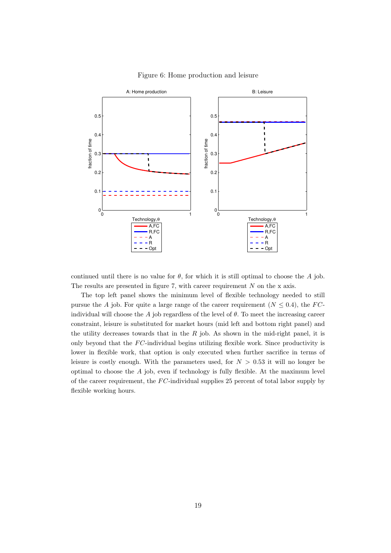



continued until there is no value for  $\theta$ , for which it is still optimal to choose the A job. The results are presented in figure 7, with career requirement  $N$  on the x axis.

The top left panel shows the minimum level of flexible technology needed to still pursue the A job. For quite a large range of the career requirement ( $N \leq 0.4$ ), the FCindividual will choose the A job regardless of the level of  $\theta$ . To meet the increasing career constraint, leisure is substituted for market hours (mid left and bottom right panel) and the utility decreases towards that in the  $R$  job. As shown in the mid-right panel, it is only beyond that the  $FC$ -individual begins utilizing flexible work. Since productivity is lower in flexible work, that option is only executed when further sacrifice in terms of leisure is costly enough. With the parameters used, for  $N > 0.53$  it will no longer be optimal to choose the  $A$  job, even if technology is fully flexible. At the maximum level of the career requirement, the  $FC$ -individual supplies 25 percent of total labor supply by flexible working hours.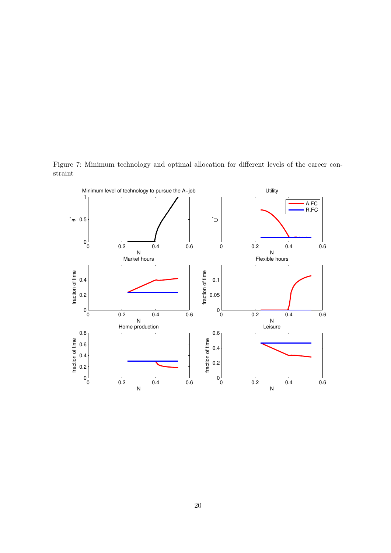Figure 7: Minimum technology and optimal allocation for different levels of the career constraint

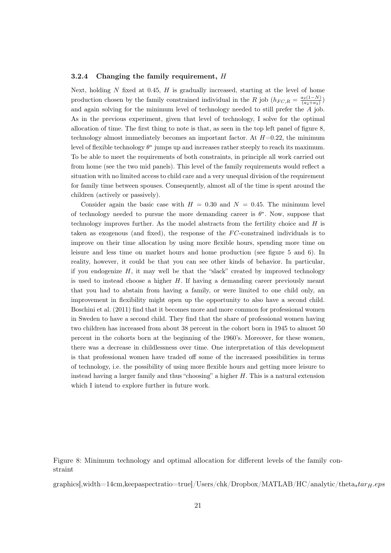#### 3.2.4 Changing the family requirement, H

Next, holding  $N$  fixed at 0.45,  $H$  is gradually increased, starting at the level of home production chosen by the family constrained individual in the R job  $(h_{FC,R} = \frac{a_2(1-N)}{(a_2+a_2)}$  $\frac{a_2(1-N)}{(a_2+a_3)}$ and again solving for the minimum level of technology needed to still prefer the A job. As in the previous experiment, given that level of technology, I solve for the optimal allocation of time. The first thing to note is that, as seen in the top left panel of figure 8, technology almost immediately becomes an important factor. At  $H=0.22$ , the minimum level of flexible technology  $\theta^*$  jumps up and increases rather steeply to reach its maximum. To be able to meet the requirements of both constraints, in principle all work carried out from home (see the two mid panels). This level of the family requirements would reflect a situation with no limited access to child care and a very unequal division of the requirement for family time between spouses. Consequently, almost all of the time is spent around the children (actively or passively).

Consider again the basic case with  $H = 0.30$  and  $N = 0.45$ . The minimum level of technology needed to pursue the more demanding career is  $\theta^*$ . Now, suppose that technology improves further. As the model abstracts from the fertility choice and  $H$  is taken as exogenous (and fixed), the response of the  $FC$ -constrained individuals is to improve on their time allocation by using more flexible hours, spending more time on leisure and less time on market hours and home production (see figure 5 and 6). In reality, however, it could be that you can see other kinds of behavior. In particular, if you endogenize  $H$ , it may well be that the "slack" created by improved technology is used to instead choose a higher  $H$ . If having a demanding career previously meant that you had to abstain from having a family, or were limited to one child only, an improvement in flexibility might open up the opportunity to also have a second child. Boschini et al. (2011) find that it becomes more and more common for professional women in Sweden to have a second child. They find that the share of professional women having two children has increased from about 38 percent in the cohort born in 1945 to almost 50 percent in the cohorts born at the beginning of the 1960's. Moreover, for these women, there was a decrease in childlessness over time. One interpretation of this development is that professional women have traded off some of the increased possibilities in terms of technology, i.e. the possibility of using more flexible hours and getting more leisure to instead having a larger family and thus "choosing" a higher H. This is a natural extension which I intend to explore further in future work.

Figure 8: Minimum technology and optimal allocation for different levels of the family constraint

graphics[,width=14cm,keepaspectratio=true]/Users/chk/Dropbox/MATLAB/HC/analytic/thetastar $_H$ .eps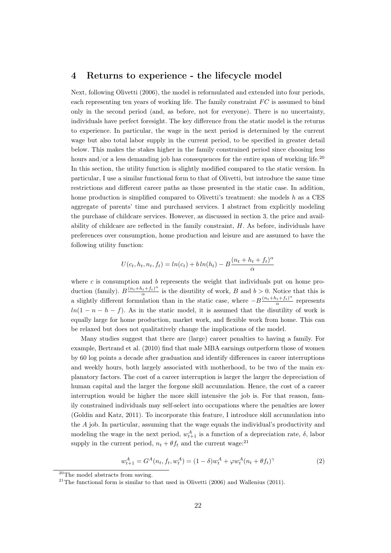# 4 Returns to experience - the lifecycle model

Next, following Olivetti (2006), the model is reformulated and extended into four periods, each representing ten years of working life. The family constraint  $FC$  is assumed to bind only in the second period (and, as before, not for everyone). There is no uncertainty, individuals have perfect foresight. The key difference from the static model is the returns to experience. In particular, the wage in the next period is determined by the current wage but also total labor supply in the current period, to be specified in greater detail below. This makes the stakes higher in the family constrained period since choosing less hours and/or a less demanding job has consequences for the entire span of working life.<sup>20</sup> In this section, the utility function is slightly modified compared to the static version. In particular, I use a similar functional form to that of Olivetti, but introduce the same time restrictions and different career paths as those presented in the static case. In addition, home production is simplified compared to Olivetti's treatment: she models  $h$  as a CES aggregate of parents' time and purchased services. I abstract from explicitly modeling the purchase of childcare services. However, as discussed in section 3, the price and availability of childcare are reflected in the family constraint,  $H$ . As before, individuals have preferences over consumption, home production and leisure and are assumed to have the following utility function:

$$
U(c_t, h_t, n_t, f_t) = \ln(c_t) + b \ln(h_t) - B \frac{(n_t + h_t + f_t)^{\alpha}}{\alpha}
$$

where c is consumption and b represents the weight that individuals put on home production (family).  $B\frac{(n_t+h_t+f_t)^{\alpha}}{\alpha}$  $\frac{a_i + f_i}{\alpha}$  is the disutility of work, B and  $b > 0$ . Notice that this is a slightly different formulation than in the static case, where  $-B\frac{(n_t+h_t+f_t)^{\alpha}}{\alpha}$  $rac{a(t+Tt)}{\alpha}$  represents  $ln(1 - n - h - f)$ . As in the static model, it is assumed that the disutility of work is equally large for home production, market work, and flexible work from home. This can be relaxed but does not qualitatively change the implications of the model.

Many studies suggest that there are (large) career penalties to having a family. For example, Bertrand et al. (2010) find that male MBA earnings outperform those of women by 60 log points a decade after graduation and identify differences in career interruptions and weekly hours, both largely associated with motherhood, to be two of the main explanatory factors. The cost of a career interruption is larger the larger the depreciation of human capital and the larger the forgone skill accumulation. Hence, the cost of a career interruption would be higher the more skill intensive the job is. For that reason, family constrained individuals may self-select into occupations where the penalties are lower (Goldin and Katz, 2011). To incorporate this feature, I introduce skill accumulation into the A job. In particular, assuming that the wage equals the individual's productivity and modeling the wage in the next period,  $w_{t+1}^A$  is a function of a depreciation rate,  $\delta$ , labor supply in the current period,  $n_t + \theta f_t$  and the current wage:<sup>21</sup>

$$
w_{t+1}^A = G^A(n_t, f_t, w_t^A) = (1 - \delta)w_t^A + \varphi w_t^A(n_t + \theta f_t)^\gamma
$$
\n(2)

<sup>20</sup>The model abstracts from saving.

<sup>&</sup>lt;sup>21</sup>The functional form is similar to that used in Olivetti  $(2006)$  and Wallenius  $(2011)$ .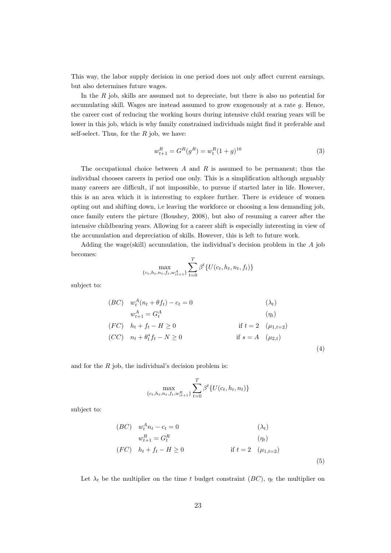This way, the labor supply decision in one period does not only affect current earnings, but also determines future wages.

In the  $R$  job, skills are assumed not to depreciate, but there is also no potential for accumulating skill. Wages are instead assumed to grow exogenously at a rate g. Hence, the career cost of reducing the working hours during intensive child rearing years will be lower in this job, which is why family constrained individuals might find it preferable and self-select. Thus, for the  $R$  job, we have:

$$
w_{t+1}^R = G^R(g^R) = w_t^R (1+g)^{10}
$$
\n(3)

The occupational choice between  $A$  and  $R$  is assumed to be permanent; thus the individual chooses careers in period one only. This is a simplification although arguably many careers are difficult, if not impossible, to pursue if started later in life. However, this is an area which it is interesting to explore further. There is evidence of women opting out and shifting down, i.e leaving the workforce or choosing a less demanding job, once family enters the picture (Boushey, 2008), but also of resuming a career after the intensive childbearing years. Allowing for a career shift is especially interesting in view of the accumulation and depreciation of skills. However, this is left to future work.

Adding the wage(skill) accumulation, the individual's decision problem in the A job becomes:

$$
\max_{\{c_t, h_t, n_t, f_t, w_{it+1}^A\}} \sum_{t=0}^T \beta^t \{U(c_t, h_t, n_t, f_t)\}
$$

subject to:

$$
(BC) \t wtA (nt + \theta ft) - ct = 0 \t (\lambdat)\t wt+1A = GtA \t (nt)\t(FC) \t ht + ft - H \ge 0 \t if t = 2 (\mu1,t=2)\t(CC) \t nt + \thetats ft - N \ge 0 \t if s = A (\mu2,t) \t(4)
$$

and for the  $R$  job, the individual's decision problem is:

$$
\max_{\{c_t, h_t, n_t, f_t, w_{it+1}^R\}} \sum_{t=0}^T \beta^t \{U(c_t, h_t, n_t)\}
$$

subject to:

$$
(BC) \t wtA nt - ct = 0 \t (\lambdat)\t wt+1R = GtR (nt)(FC) \t ht + ft - H \ge 0 \t if t = 2 (\mu1,t=2) \t (5)
$$

Let  $\lambda_t$  be the multiplier on the time t budget constraint (BC),  $\eta_t$  the multiplier on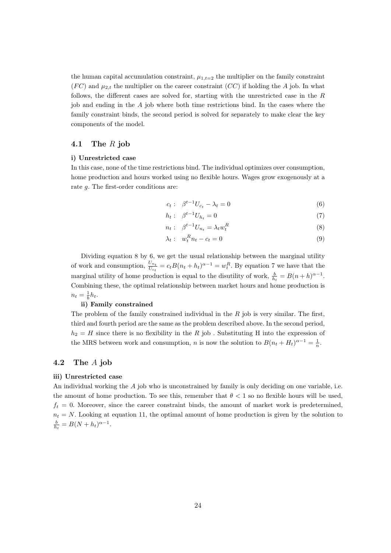the human capital accumulation constraint,  $\mu_{1,t=2}$  the multiplier on the family constraint  $(FC)$  and  $\mu_{2,t}$  the multiplier on the career constraint  $(CC)$  if holding the A job. In what follows, the different cases are solved for, starting with the unrestricted case in the R job and ending in the  $A$  job where both time restrictions bind. In the cases where the family constraint binds, the second period is solved for separately to make clear the key components of the model.

# 4.1 The R job

#### i) Unrestricted case

In this case, none of the time restrictions bind. The individual optimizes over consumption, home production and hours worked using no flexible hours. Wages grow exogenously at a rate g. The first-order conditions are:

$$
c_t: \quad \beta^{t-1}U_{c_t} - \lambda_t = 0 \tag{6}
$$

$$
h_t: \quad \beta^{t-1}U_{h_t} = 0 \tag{7}
$$

$$
n_t: \quad \beta^{t-1}U_{n_t} = \lambda_t w_t^R \tag{8}
$$

$$
\lambda_t: \quad w_t^R n_t - c_t = 0 \tag{9}
$$

Dividing equation 8 by 6, we get the usual relationship between the marginal utility of work and consumption,  $\frac{U_{n_t}}{U_{c_t}} = c_t B(n_t + h_t)^{\alpha - 1} = w_t^R$ . By equation 7 we have that the marginal utility of home production is equal to the disutility of work,  $\frac{b}{h_t} = B(n+h)^{\alpha-1}$ . Combining these, the optimal relationship between market hours and home production is  $n_t = \frac{1}{b}h_t.$ 

# ii) Family constrained

The problem of the family constrained individual in the  $R$  job is very similar. The first, third and fourth period are the same as the problem described above. In the second period,  $h_2 = H$  since there is no flexibility in the R job. Substituting H into the expression of the MRS between work and consumption, *n* is now the solution to  $B(n_t + H_t)^{\alpha - 1} = \frac{1}{n}$ .

# 4.2 The A job

#### iii) Unrestricted case

An individual working the A job who is unconstrained by family is only deciding on one variable, i.e. the amount of home production. To see this, remember that  $\theta < 1$  so no flexible hours will be used,  $f_t = 0$ . Moreover, since the career constraint binds, the amount of market work is predetermined,  $n_t = N$ . Looking at equation 11, the optimal amount of home production is given by the solution to  $\frac{b}{h_t} = B(N + h_t)^{\alpha - 1}.$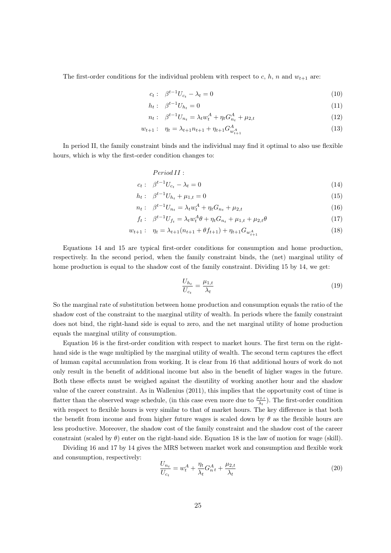The first-order conditions for the individual problem with respect to c, h, n and  $w_{t+1}$  are:

$$
c_t: \ \beta^{t-1} U_{c_t} - \lambda_t = 0 \tag{10}
$$

$$
h_t: \ \beta^{t-1} U_{h_t} = 0 \tag{11}
$$

$$
n_t: \quad \beta^{t-1}U_{n_t} = \lambda_t w_t^A + \eta_t G_{n_t}^A + \mu_{2,t} \tag{12}
$$

$$
w_{t+1}: \quad \eta_t = \lambda_{t+1} n_{t+1} + \eta_{t+1} G^A_{w^A_{t+1}} \tag{13}
$$

In period II, the family constraint binds and the individual may find it optimal to also use flexible hours, which is why the first-order condition changes to:

$$
Period II:
$$

$$
c_t: \quad \beta^{t-1}U_{c_t} - \lambda_t = 0 \tag{14}
$$

$$
h_t: \ \beta^{t-1}U_{h_t} + \mu_{1,t} = 0 \tag{15}
$$

$$
n_t: \ \beta^{t-1} U_{n_t} = \lambda_t w_t^A + \eta_t G_{n_t} + \mu_{2,t} \tag{16}
$$

$$
f_t: \ \beta^{t-1}U_{f_t} = \lambda_t w_t^A \theta + \eta_t G_{n_t} + \mu_{1,t} + \mu_{2,t} \theta \tag{17}
$$

$$
w_{t+1}: \quad \eta_t = \lambda_{t+1}(n_{t+1} + \theta f_{t+1}) + \eta_{t+1} G_{w_{t+1}^A}
$$
\n
$$
(18)
$$

Equations 14 and 15 are typical first-order conditions for consumption and home production, respectively. In the second period, when the family constraint binds, the (net) marginal utility of home production is equal to the shadow cost of the family constraint. Dividing 15 by 14, we get:

$$
\frac{U_{h_t}}{U_{c_t}} = \frac{\mu_{1,t}}{\lambda_t} \tag{19}
$$

So the marginal rate of substitution between home production and consumption equals the ratio of the shadow cost of the constraint to the marginal utility of wealth. In periods where the family constraint does not bind, the right-hand side is equal to zero, and the net marginal utility of home production equals the marginal utility of consumption.

Equation 16 is the first-order condition with respect to market hours. The first term on the righthand side is the wage multiplied by the marginal utility of wealth. The second term captures the effect of human capital accumulation from working. It is clear from 16 that additional hours of work do not only result in the benefit of additional income but also in the benefit of higher wages in the future. Both these effects must be weighed against the disutility of working another hour and the shadow value of the career constraint. As in Wallenius (2011), this implies that the opportunity cost of time is flatter than the observed wage schedule, (in this case even more due to  $\frac{\mu_{2,t}}{\lambda_t}$ ). The first-order condition with respect to flexible hours is very similar to that of market hours. The key difference is that both the benefit from income and from higher future wages is scaled down by  $\theta$  as the flexible hours are less productive. Moreover, the shadow cost of the family constraint and the shadow cost of the career constraint (scaled by  $\theta$ ) enter on the right-hand side. Equation 18 is the law of motion for wage (skill).

Dividing 16 and 17 by 14 gives the MRS between market work and consumption and flexible work and consumption, respectively:

$$
\frac{U_{n_t}}{U_{c_t}} = w_t^A + \frac{\eta_t}{\lambda_t} G_{n_t}^A + \frac{\mu_{2,t}}{\lambda_t} \tag{20}
$$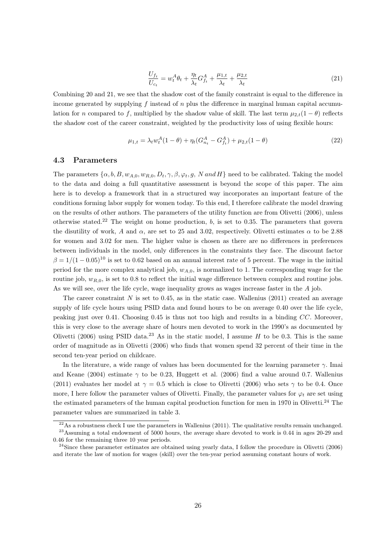$$
\frac{U_{f_t}}{U_{c_t}} = w_t^A \theta_t + \frac{\eta_t}{\lambda_t} G_{f_t}^A + \frac{\mu_{1,t}}{\lambda_t} + \frac{\mu_{2,t}}{\lambda_t} \tag{21}
$$

Combining 20 and 21, we see that the shadow cost of the family constraint is equal to the difference in income generated by supplying  $f$  instead of  $n$  plus the difference in marginal human capital accumulation for n compared to f, multiplied by the shadow value of skill. The last term  $\mu_{2,t}(1-\theta)$  reflects the shadow cost of the career constraint, weighted by the productivity loss of using flexible hours:

$$
\mu_{1,t} = \lambda_t w_t^A (1 - \theta) + \eta_t (G_{n_t}^A - G_{f_t}^A) + \mu_{2,t} (1 - \theta) \tag{22}
$$

# 4.3 Parameters

The parameters  $\{\alpha, b, B, w_{A,0}, w_{R,0}, D_t, \gamma, \beta, \varphi_t, g, N \text{ and } H\}$  need to be calibrated. Taking the model to the data and doing a full quantitative assessment is beyond the scope of this paper. The aim here is to develop a framework that in a structured way incorporates an important feature of the conditions forming labor supply for women today. To this end, I therefore calibrate the model drawing on the results of other authors. The parameters of the utility function are from Olivetti (2006), unless otherwise stated.<sup>22</sup> The weight on home production, b, is set to 0.35. The parameters that govern the disutility of work, A and  $\alpha$ , are set to 25 and 3.02, respectively. Olivetti estimates  $\alpha$  to be 2.88 for women and 3.02 for men. The higher value is chosen as there are no differences in preferences between individuals in the model, only differences in the constraints they face. The discount factor  $\beta = 1/(1-0.05)^{10}$  is set to 0.62 based on an annual interest rate of 5 percent. The wage in the initial period for the more complex analytical job,  $w_{A,0}$ , is normalized to 1. The corresponding wage for the routine job,  $w_{R,0}$ , is set to 0.8 to reflect the initial wage difference between complex and routine jobs. As we will see, over the life cycle, wage inequality grows as wages increase faster in the A job.

The career constraint  $N$  is set to 0.45, as in the static case. Wallenius (2011) created an average supply of life cycle hours using PSID data and found hours to be on average 0.40 over the life cycle, peaking just over 0.41. Choosing 0.45 is thus not too high and results in a binding CC. Moreover, this is very close to the average share of hours men devoted to work in the 1990's as documented by Olivetti (2006) using PSID data.<sup>23</sup> As in the static model, I assume H to be 0.3. This is the same order of magnitude as in Olivetti (2006) who finds that women spend 32 percent of their time in the second ten-year period on childcare.

In the literature, a wide range of values has been documented for the learning parameter  $\gamma$ . Imai and Keane (2004) estimate  $\gamma$  to be 0.23, Huggett et al. (2006) find a value around 0.7. Wallenius (2011) evaluates her model at  $\gamma = 0.5$  which is close to Olivetti (2006) who sets  $\gamma$  to be 0.4. Once more, I here follow the parameter values of Olivetti. Finally, the parameter values for  $\varphi_t$  are set using the estimated parameters of the human capital production function for men in 1970 in Olivetti.<sup>24</sup> The parameter values are summarized in table 3.

 $^{22}$ As a robustness check I use the parameters in Wallenius (2011). The qualitative results remain unchanged. <sup>23</sup>Assuming a total endowment of 5000 hours, the average share devoted to work is 0.44 in ages 20-29 and

<sup>0.46</sup> for the remaining three 10 year periods.

<sup>&</sup>lt;sup>24</sup>Since these parameter estimates are obtained using yearly data, I follow the procedure in Olivetti (2006) and iterate the law of motion for wages (skill) over the ten-year period assuming constant hours of work.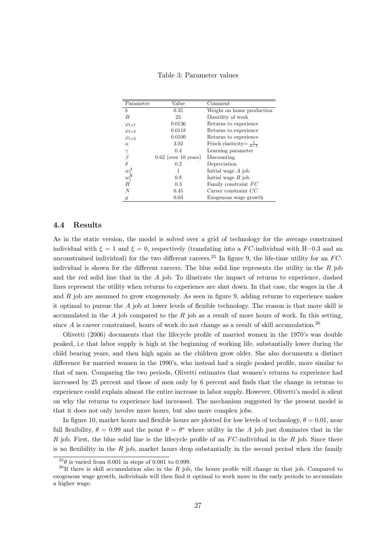| Parameter                  | Value                  | Comment                                 |
|----------------------------|------------------------|-----------------------------------------|
| b                          | 0.35                   | Weight on home production               |
| B                          | 25                     | Disutility of work                      |
| $\varphi_{t=1}$            | 0.0136                 | Returns to experience                   |
| $\varphi_{t=2}$            | 0.0118                 | Returns to experience                   |
| $\varphi_{t=3}$            | 0.0100                 | Returns to experience                   |
| $\alpha$                   | 3.02                   | Frisch elasticity= $\frac{1}{\alpha-1}$ |
| $\gamma$                   | 0.4                    | Learning parameter                      |
| β                          | $0.62$ (over 10 years) | Discounting                             |
| $\delta$                   | 0.2                    | Depreciation                            |
|                            |                        | Initial wage $A$ job                    |
| $w_{1}^{A}$<br>$w_{1}^{R}$ | 0.8                    | Initial wage $R$ job                    |
| H                          | 0.3                    | Family constraint FC                    |
| N                          | 0.45                   | Career constraint $CC$                  |
| 9                          | 0.03                   | Exogenous wage growth                   |

Table 3: Parameter values

# 4.4 Results

As in the static version, the model is solved over a grid of technology for the average constrained individual with  $\xi = 1$  and  $\xi = 0$ , respectively (translating into a FC-individual with H=0.3 and an unconstrained individual) for the two different careers.<sup>25</sup> In figure 9, the life-time utility for an  $FC$ individual is shown for the different careers. The blue solid line represents the utility in the  $R$  job and the red solid line that in the  $A$  job. To illustrate the impact of returns to experience, dashed lines represent the utility when returns to experience are shut down. In that case, the wages in the A and  $R$  job are assumed to grow exogenously. As seen in figure 9, adding returns to experience makes it optimal to pursue the A job at lower levels of flexible technology. The reason is that more skill is accumulated in the  $A$  job compared to the  $R$  job as a result of more hours of work. In this setting, since  $A$  is career constrained, hours of work do not change as a result of skill accumulation.<sup>26</sup>

Olivetti (2006) documents that the lifecycle profile of married women in the 1970's was double peaked, i.e that labor supply is high at the beginning of working life, substantially lower during the child bearing years, and then high again as the children grow older. She also documents a distinct difference for married women in the 1990's, who instead had a single peaked profile, more similar to that of men. Comparing the two periods, Olivetti estimates that women's returns to experience had increased by 25 percent and those of men only by 6 percent and finds that the change in returns to experience could explain almost the entire increase in labor supply. However, Olivetti's model is silent on why the returns to experience had increased. The mechanism suggested by the present model is that it does not only involve more hours, but also more complex jobs.

In figure 10, market hours and flexible hours are plotted for low levels of technology,  $\theta = 0.01$ , near full flexibility,  $\theta = 0.99$  and the point  $\theta = \theta^*$  where utility in the A job just dominates that in the R job. First, the blue solid line is the lifecycle profile of an  $FC$ -individual in the R job. Since there is no flexibility in the  $R$  job, market hours drop substantially in the second period when the family

 $^{25}\theta$  is varied from 0.001 in steps of 0.001 to 0.999.

<sup>&</sup>lt;sup>26</sup>If there is skill accumulation also in the R job, the hours profile will change in that job. Compared to exogenous wage growth, individuals will then find it optimal to work more in the early periods to accumulate a higher wage.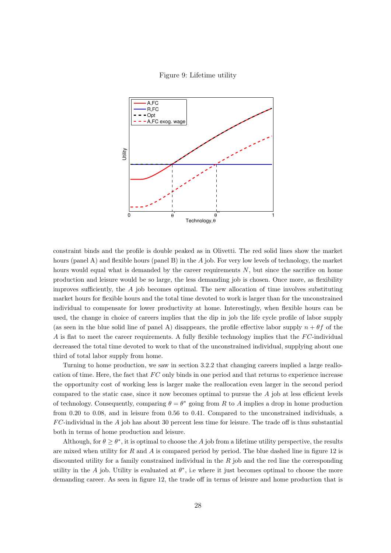Figure 9: Lifetime utility



constraint binds and the profile is double peaked as in Olivetti. The red solid lines show the market hours (panel A) and flexible hours (panel B) in the A job. For very low levels of technology, the market hours would equal what is demanded by the career requirements  $N$ , but since the sacrifice on home production and leisure would be so large, the less demanding job is chosen. Once more, as flexibility improves sufficiently, the  $A$  job becomes optimal. The new allocation of time involves substituting market hours for flexible hours and the total time devoted to work is larger than for the unconstrained individual to compensate for lower productivity at home. Interestingly, when flexible hours can be used, the change in choice of careers implies that the dip in job the life cycle profile of labor supply (as seen in the blue solid line of panel A) disappears, the profile effective labor supply  $n + \theta f$  of the A is flat to meet the career requirements. A fully flexible technology implies that the  $FC$ -individual decreased the total time devoted to work to that of the unconstrained individual, supplying about one third of total labor supply from home.

Turning to home production, we saw in section 3.2.2 that changing careers implied a large reallocation of time. Here, the fact that  $FC$  only binds in one period and that returns to experience increase the opportunity cost of working less is larger make the reallocation even larger in the second period compared to the static case, since it now becomes optimal to pursue the  $A$  job at less efficient levels of technology. Consequently, comparing  $\theta = \theta^*$  going from R to A implies a drop in home production from 0.20 to 0.08, and in leisure from 0.56 to 0.41. Compared to the unconstrained individuals, a  $FC$ -individual in the A job has about 30 percent less time for leisure. The trade off is thus substantial both in terms of home production and leisure.

Although, for  $\theta \geq \theta^*$ , it is optimal to choose the A job from a lifetime utility perspective, the results are mixed when utility for  $R$  and  $A$  is compared period by period. The blue dashed line in figure 12 is discounted utility for a family constrained individual in the  $R$  job and the red line the corresponding utility in the A job. Utility is evaluated at  $\theta^*$ , i.e where it just becomes optimal to choose the more demanding career. As seen in figure 12, the trade off in terms of leisure and home production that is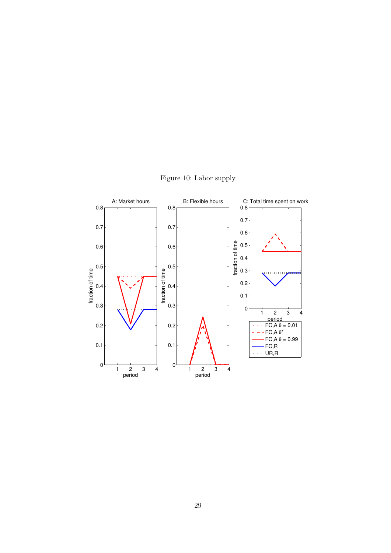

Figure 10: Labor supply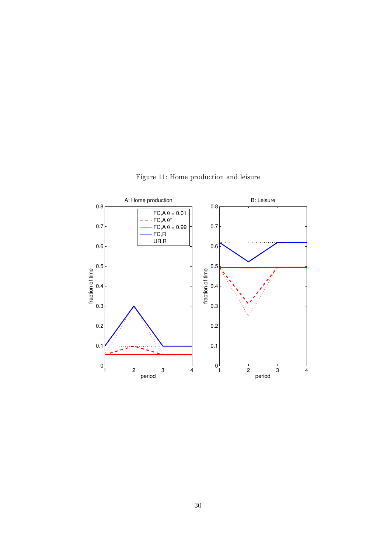

Figure 11: Home production and leisure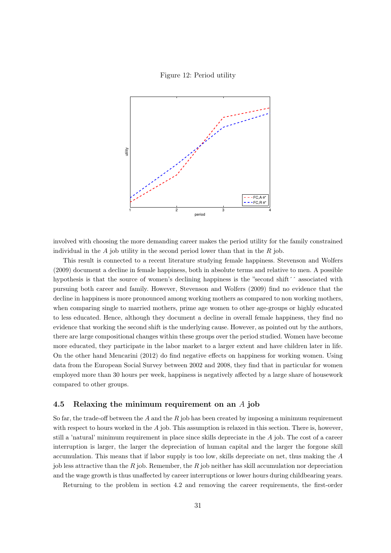Figure 12: Period utility



involved with choosing the more demanding career makes the period utility for the family constrained individual in the  $A$  job utility in the second period lower than that in the  $R$  job.

This result is connected to a recent literature studying female happiness. Stevenson and Wolfers (2009) document a decline in female happiness, both in absolute terms and relative to men. A possible hypothesis is that the source of women's declining happiness is the "second shift' associated with pursuing both career and family. However, Stevenson and Wolfers (2009) find no evidence that the decline in happiness is more pronounced among working mothers as compared to non working mothers, when comparing single to married mothers, prime age women to other age-groups or highly educated to less educated. Hence, although they document a decline in overall female happiness, they find no evidence that working the second shift is the underlying cause. However, as pointed out by the authors, there are large compositional changes within these groups over the period studied. Women have become more educated, they participate in the labor market to a larger extent and have children later in life. On the other hand Mencarini (2012) do find negative effects on happiness for working women. Using data from the European Social Survey between 2002 and 2008, they find that in particular for women employed more than 30 hours per week, happiness is negatively affected by a large share of housework compared to other groups.

### 4.5 Relaxing the minimum requirement on an A job

So far, the trade-off between the A and the R job has been created by imposing a minimum requirement with respect to hours worked in the  $A$  job. This assumption is relaxed in this section. There is, however, still a 'natural' minimum requirement in place since skills depreciate in the A job. The cost of a career interruption is larger, the larger the depreciation of human capital and the larger the forgone skill accumulation. This means that if labor supply is too low, skills depreciate on net, thus making the A job less attractive than the R job. Remember, the R job neither has skill accumulation nor depreciation and the wage growth is thus unaffected by career interruptions or lower hours during childbearing years.

Returning to the problem in section 4.2 and removing the career requirements, the first-order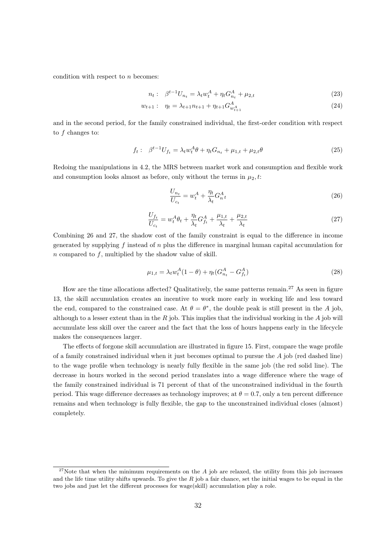condition with respect to n becomes:

$$
n_t: \quad \beta^{t-1}U_{n_t} = \lambda_t w_t^A + \eta_t G_{n_t}^A + \mu_{2,t} \tag{23}
$$

$$
w_{t+1}: \quad \eta_t = \lambda_{t+1} n_{t+1} + \eta_{t+1} G^A_{w^A_{t+1}}
$$
\n
$$
(24)
$$

and in the second period, for the family constrained individual, the first-order condition with respect to f changes to:

$$
f_t: \ \beta^{t-1}U_{f_t} = \lambda_t w_t^A \theta + \eta_t G_{n_t} + \mu_{1,t} + \mu_{2,t} \theta \tag{25}
$$

Redoing the manipulations in 4.2, the MRS between market work and consumption and flexible work and consumption looks almost as before, only without the terms in  $\mu_2$ , t:

$$
\frac{U_{n_t}}{U_{c_t}} = w_t^A + \frac{\eta_t}{\lambda_t} G_{n_t}^A \tag{26}
$$

$$
\frac{U_{f_t}}{U_{c_t}} = w_t^A \theta_t + \frac{\eta_t}{\lambda_t} G_{f_t}^A + \frac{\mu_{1,t}}{\lambda_t} + \frac{\mu_{2,t}}{\lambda_t} \tag{27}
$$

Combining 26 and 27, the shadow cost of the family constraint is equal to the difference in income generated by supplying f instead of  $n$  plus the difference in marginal human capital accumulation for  $n$  compared to  $f$ , multiplied by the shadow value of skill.

$$
\mu_{1,t} = \lambda_t w_t^A (1 - \theta) + \eta_t (G_{n_t}^A - G_{f_t}^A)
$$
\n(28)

How are the time allocations affected? Qualitatively, the same patterns remain.<sup>27</sup> As seen in figure 13, the skill accumulation creates an incentive to work more early in working life and less toward the end, compared to the constrained case. At  $\theta = \theta^*$ , the double peak is still present in the A job, although to a lesser extent than in the  $R$  job. This implies that the individual working in the  $A$  job will accumulate less skill over the career and the fact that the loss of hours happens early in the lifecycle makes the consequences larger.

The effects of forgone skill accumulation are illustrated in figure 15. First, compare the wage profile of a family constrained individual when it just becomes optimal to pursue the  $A$  job (red dashed line) to the wage profile when technology is nearly fully flexible in the same job (the red solid line). The decrease in hours worked in the second period translates into a wage difference where the wage of the family constrained individual is 71 percent of that of the unconstrained individual in the fourth period. This wage difference decreases as technology improves; at  $\theta = 0.7$ , only a ten percent difference remains and when technology is fully flexible, the gap to the unconstrained individual closes (almost) completely.

<sup>&</sup>lt;sup>27</sup>Note that when the minimum requirements on the  $A$  job are relaxed, the utility from this job increases and the life time utility shifts upwards. To give the  $R$  job a fair chance, set the initial wages to be equal in the two jobs and just let the different processes for wage(skill) accumulation play a role.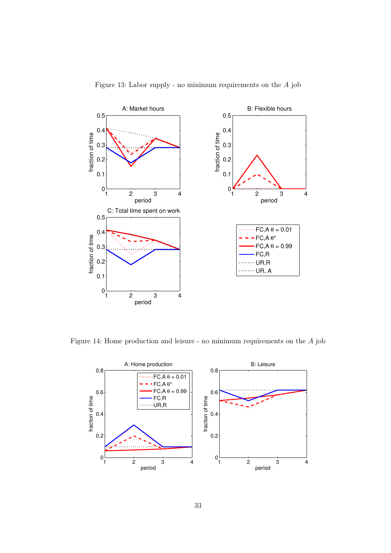

Figure 13: Labor supply - no minimum requirements on the A job

Figure 14: Home production and leisure - no minimum requirements on the A job

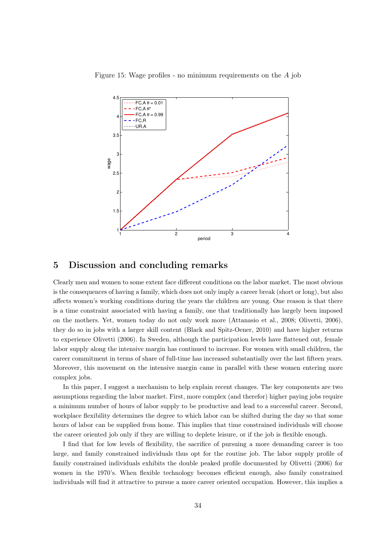



# 5 Discussion and concluding remarks

Clearly men and women to some extent face different conditions on the labor market. The most obvious is the consequences of having a family, which does not only imply a career break (short or long), but also affects women's working conditions during the years the children are young. One reason is that there is a time constraint associated with having a family, one that traditionally has largely been imposed on the mothers. Yet, women today do not only work more (Attanasio et al., 2008; Olivetti, 2006), they do so in jobs with a larger skill content (Black and Spitz-Oener, 2010) and have higher returns to experience Olivetti (2006). In Sweden, although the participation levels have flattened out, female labor supply along the intensive margin has continued to increase. For women with small children, the career commitment in terms of share of full-time has increased substantially over the last fifteen years. Moreover, this movement on the intensive margin came in parallel with these women entering more complex jobs.

In this paper, I suggest a mechanism to help explain recent changes. The key components are two assumptions regarding the labor market. First, more complex (and therefor) higher paying jobs require a minimum number of hours of labor supply to be productive and lead to a successful career. Second, workplace flexibility determines the degree to which labor can be shifted during the day so that some hours of labor can be supplied from home. This implies that time constrained individuals will choose the career oriented job only if they are willing to deplete leisure, or if the job is flexible enough.

I find that for low levels of flexibility, the sacrifice of pursuing a more demanding career is too large, and family constrained individuals thus opt for the routine job. The labor supply profile of family constrained individuals exhibits the double peaked profile documented by Olivetti (2006) for women in the 1970's. When flexible technology becomes efficient enough, also family constrained individuals will find it attractive to pursue a more career oriented occupation. However, this implies a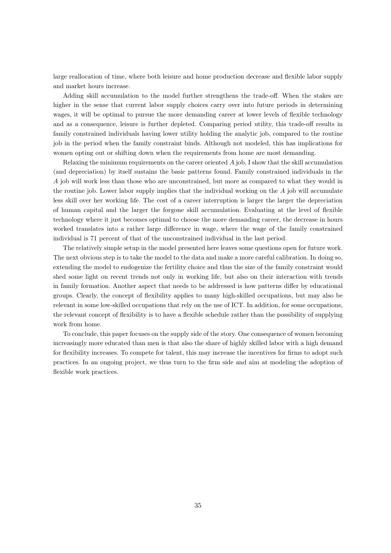large reallocation of time, where both leisure and home production decrease and flexible labor supply and market hours increase.

Adding skill accumulation to the model further strengthens the trade-off. When the stakes are higher in the sense that current labor supply choices carry over into future periods in determining wages, it will be optimal to pursue the more demanding career at lower levels of flexible technology and as a consequence, leisure is further depleted. Comparing period utility, this trade-off results in family constrained individuals having lower utility holding the analytic job, compared to the routine job in the period when the family constraint binds. Although not modeled, this has implications for women opting out or shifting down when the requirements from home are most demanding.

Relaxing the minimum requirements on the career oriented  $\vec{A}$  job, I show that the skill accumulation (and depreciation) by itself sustains the basic patterns found. Family constrained individuals in the A job will work less than those who are unconstrained, but more as compared to what they would in the routine job. Lower labor supply implies that the individual working on the  $\vec{A}$  job will accumulate less skill over her working life. The cost of a career interruption is larger the larger the depreciation of human capital and the larger the forgone skill accumulation. Evaluating at the level of flexible technology where it just becomes optimal to choose the more demanding career, the decrease in hours worked translates into a rather large difference in wage, where the wage of the family constrained individual is 71 percent of that of the unconstrained individual in the last period.

The relatively simple setup in the model presented here leaves some questions open for future work. The next obvious step is to take the model to the data and make a more careful calibration. In doing so, extending the model to endogenize the fertility choice and thus the size of the family constraint would shed some light on recent trends not only in working life, but also on their interaction with trends in family formation. Another aspect that needs to be addressed is how patterns differ by educational groups. Clearly, the concept of flexibility applies to many high-skilled occupations, but may also be relevant in some low-skilled occupations that rely on the use of ICT. In addition, for some occupations, the relevant concept of flexibility is to have a flexible schedule rather than the possibility of supplying work from home.

To conclude, this paper focuses on the supply side of the story. One consequence of women becoming increasingly more educated than men is that also the share of highly skilled labor with a high demand for flexibility increases. To compete for talent, this may increase the incentives for firms to adopt such practices. In an ongoing project, we thus turn to the firm side and aim at modeling the adoption of flexible work practices.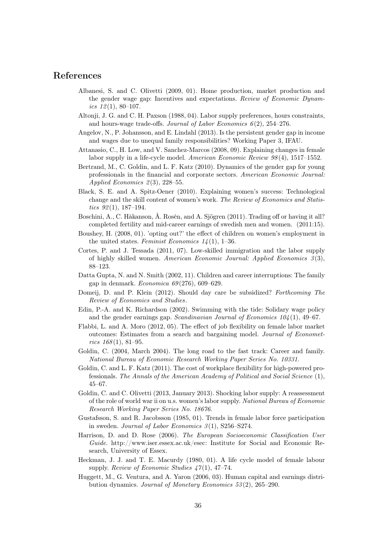# References

- Albanesi, S. and C. Olivetti (2009, 01). Home production, market production and the gender wage gap: Incentives and expectations. Review of Economic Dynamics  $12(1)$ , 80-107.
- Altonji, J. G. and C. H. Paxson (1988, 04). Labor supply preferences, hours constraints, and hours-wage trade-offs. Journal of Labor Economics  $6(2)$ , 254–276.
- Angelov, N., P. Johansson, and E. Lindahl (2013). Is the persistent gender gap in income and wages due to unequal family responsibilities? Working Paper 3, IFAU.
- Attanasio, C., H. Low, and V. Sanchez-Marcos (2008, 09). Explaining changes in female labor supply in a life-cycle model. American Economic Review 98 (4), 1517–1552.
- Bertrand, M., C. Goldin, and L. F. Katz (2010). Dynamics of the gender gap for young professionals in the financial and corporate sectors. American Economic Journal: Applied Economics  $2(3)$ , 228–55.
- Black, S. E. and A. Spitz-Oener (2010). Explaining women's success: Technological change and the skill content of women's work. The Review of Economics and Statistics  $92(1)$ , 187-194.
- Boschini, A., C. Håkanson, Å. Rosén, and A. Sjögren (2011). Trading off or having it all? completed fertility and mid-career earnings of swedish men and women. (2011:15).
- Boushey, H. (2008, 01). 'opting out?' the effect of children on women's employment in the united states. Feminist Economics  $1/4(1)$ , 1–36.
- Cortes, P. and J. Tessada (2011, 07). Low-skilled immigration and the labor supply of highly skilled women. American Economic Journal: Applied Economics  $3(3)$ , 88–123.
- Datta Gupta, N. and N. Smith (2002, 11). Children and career interruptions: The family gap in denmark. Economica  $69(276)$ , 609-629.
- Domeij, D. and P. Klein (2012). Should day care be subsidized? Forthcoming The Review of Economics and Studies.
- Edin, P.-A. and K. Richardson (2002). Swimming with the tide: Solidary wage policy and the gender earnings gap. Scandinavian Journal of Economics  $104(1)$ , 49–67.
- Flabbi, L. and A. Moro (2012, 05). The effect of job flexibility on female labor market outcomes: Estimates from a search and bargaining model. Journal of Economet $rics$  168(1), 81–95.
- Goldin, C. (2004, March 2004). The long road to the fast track: Career and family. National Bureau of Economic Research Working Paper Series No. 10331.
- Goldin, C. and L. F. Katz (2011). The cost of workplace flexibility for high-powered professionals. The Annals of the American Academy of Political and Social Science (1), 45–67.
- Goldin, C. and C. Olivetti (2013, January 2013). Shocking labor supply: A reassessment of the role of world war ii on u.s. women's labor supply. National Bureau of Economic Research Working Paper Series No. 18676.
- Gustafsson, S. and R. Jacobsson (1985, 01). Trends in female labor force participation in sweden. Journal of Labor Economics  $3(1)$ , S256–S274.
- Harrison, D. and D. Rose (2006). The European Socioeconomic Classification User Guide. http://www.iser.essex.ac.uk/esec: Institute for Social and Economic Research, University of Essex.
- Heckman, J. J. and T. E. Macurdy (1980, 01). A life cycle model of female labour supply. Review of Economic Studies  $\frac{47}{1}$ , 47–74.
- Huggett, M., G. Ventura, and A. Yaron (2006, 03). Human capital and earnings distribution dynamics. Journal of Monetary Economics 53 (2), 265–290.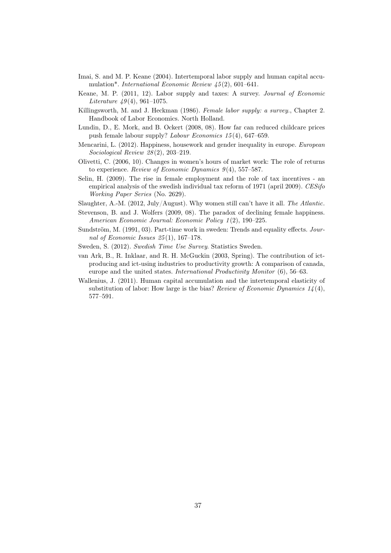- Imai, S. and M. P. Keane (2004). Intertemporal labor supply and human capital accumulation\*. *International Economic Review 45*(2), 601–641.
- Keane, M. P. (2011, 12). Labor supply and taxes: A survey. Journal of Economic Literature  $49(4)$ , 961–1075.
- Killingsworth, M. and J. Heckman (1986). Female labor supply: a survey., Chapter 2. Handbook of Labor Economics. North Holland.
- Lundin, D., E. Mork, and B. Ockert (2008, 08). How far can reduced childcare prices push female labour supply? Labour Economics 15 (4), 647–659.
- Mencarini, L. (2012). Happiness, housework and gender inequality in europe. European Sociological Review 28 (2), 203–219.
- Olivetti, C. (2006, 10). Changes in women's hours of market work: The role of returns to experience. Review of Economic Dynamics  $9(4)$ , 557–587.
- Selin, H. (2009). The rise in female employment and the role of tax incentives an empirical analysis of the swedish individual tax reform of 1971 (april 2009). CESifo Working Paper Series (No. 2629).
- Slaughter, A.-M. (2012, July/August). Why women still can't have it all. The Atlantic.
- Stevenson, B. and J. Wolfers (2009, 08). The paradox of declining female happiness. American Economic Journal: Economic Policy 1 (2), 190–225.
- Sundström, M. (1991, 03). Part-time work in sweden: Trends and equality effects. Journal of Economic Issues  $25(1)$ , 167-178.
- Sweden, S. (2012). Swedish Time Use Survey. Statistics Sweden.
- van Ark, B., R. Inklaar, and R. H. McGuckin (2003, Spring). The contribution of ictproducing and ict-using industries to productivity growth: A comparison of canada, europe and the united states. International Productivity Monitor (6), 56–63.
- Wallenius, J. (2011). Human capital accumulation and the intertemporal elasticity of substitution of labor: How large is the bias? Review of Economic Dynamics  $14(4)$ , 577–591.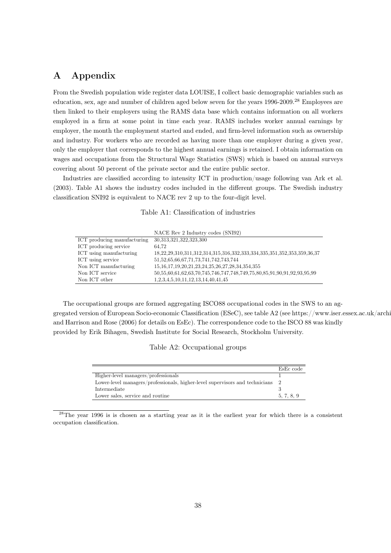# A Appendix

From the Swedish population wide register data LOUISE, I collect basic demographic variables such as education, sex, age and number of children aged below seven for the years 1996-2009.<sup>28</sup> Employees are then linked to their employers using the RAMS data base which contains information on all workers employed in a firm at some point in time each year. RAMS includes worker annual earnings by employer, the month the employment started and ended, and firm-level information such as ownership and industry. For workers who are recorded as having more than one employer during a given year, only the employer that corresponds to the highest annual earnings is retained. I obtain information on wages and occupations from the Structural Wage Statistics (SWS) which is based on annual surveys covering about 50 percent of the private sector and the entire public sector.

Industries are classified according to intensity ICT in production/usage following van Ark et al. (2003). Table A1 shows the industry codes included in the different groups. The Swedish industry classification SNI92 is equivalent to NACE rev 2 up to the four-digit level.

| Table A1: Classification of industries |  |
|----------------------------------------|--|
|----------------------------------------|--|

|                             | NACE Rev 2 Industry codes (SNI92)                                      |
|-----------------------------|------------------------------------------------------------------------|
| ICT producing manufacturing | 30,313,321,322,323,300                                                 |
| ICT producing service       | 64.72                                                                  |
| ICT using manufacturing     | 18,22,29,310,311,312,314,315,316,332,333,334,335,351,352,353,359,36,37 |
| ICT using service           | 51, 52, 65, 66, 67, 71, 73, 741, 742, 743, 744                         |
| Non ICT manufacturing       | 15, 16, 17, 19, 20, 21, 23, 24, 25, 26, 27, 28, 34, 354, 355           |
| Non ICT service             | 50,55,60,61,62,63,70,745,746,747,748,749,75,80,85,91,90,91,92,93,95,99 |
| Non ICT other               | 1,2,3,4,5,10,11,12,13,14,40,41,45                                      |

The occupational groups are formed aggregating ISCO88 occupational codes in the SWS to an aggregated version of European Socio-economic Classification (ESeC), see table A2 (see https://www.iser.essex.ac.uk/archives/ and Harrison and Rose (2006) for details on EsEc). The correspondence code to the ISCO 88 was kindly provided by Erik Bihagen, Swedish Institute for Social Research, Stockholm University.

Table A2: Occupational groups

|                                                                              | EsEc code  |
|------------------------------------------------------------------------------|------------|
| Higher-level managers/professionals                                          |            |
| Lower-level managers/professionals, higher-level supervisors and technicians | - 2        |
| Intermediate                                                                 |            |
| Lower sales, service and routine                                             | 5, 7, 8, 9 |

<sup>28</sup>The year 1996 is is chosen as a starting year as it is the earliest year for which there is a consistent occupation classification.